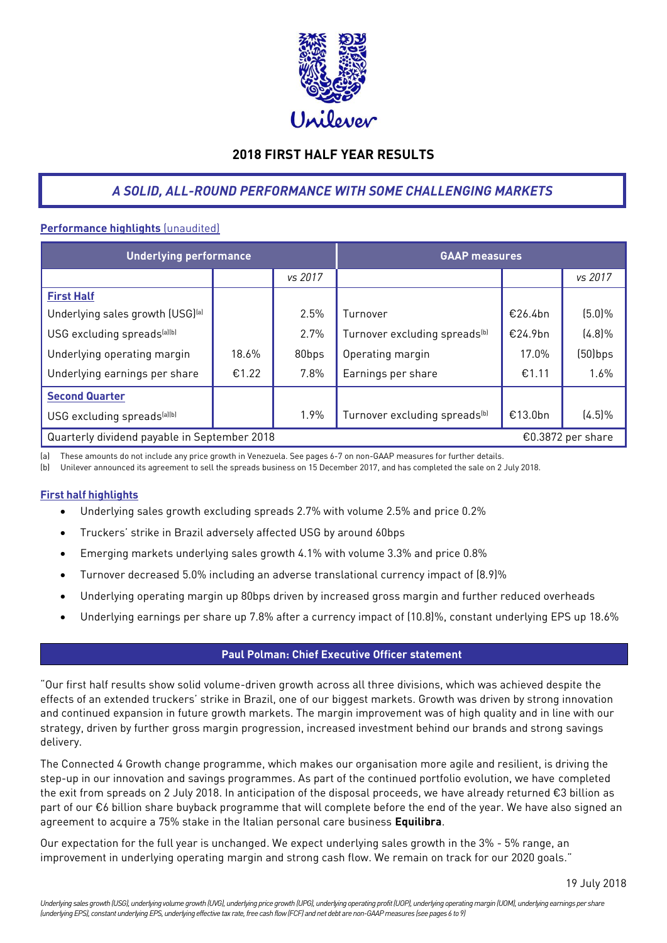

# **2018 FIRST HALF YEAR RESULTS**

# *A SOLID, ALL-ROUND PERFORMANCE WITH SOME CHALLENGING MARKETS*

## **Performance highlights** (unaudited)

| <b>Underlying performance</b>                |       |         |                                           | <b>GAAP measures</b> |                   |  |  |
|----------------------------------------------|-------|---------|-------------------------------------------|----------------------|-------------------|--|--|
|                                              |       | vs 2017 |                                           |                      | vs 2017           |  |  |
| <b>First Half</b>                            |       |         |                                           |                      |                   |  |  |
| Underlying sales growth (USG)[a]             |       | 2.5%    | Turnover                                  | €26.4bn              | (5.0%             |  |  |
| USG excluding spreads[a][b]                  |       | 2.7%    | Turnover excluding spreads <sup>(b)</sup> | €24.9bn              | $(4.8)\%$         |  |  |
| Underlying operating margin                  | 18.6% | 80bps   | Operating margin                          | 17.0%                | $(50)$ bps        |  |  |
| Underlying earnings per share                | €1.22 | 7.8%    | Earnings per share                        | £1.11                | 1.6%              |  |  |
| <b>Second Quarter</b>                        |       |         |                                           |                      |                   |  |  |
| USG excluding spreads[a][b]                  |       | 1.9%    | Turnover excluding spreads <sup>(b)</sup> | €13.0bn              | $(4.5)\%$         |  |  |
| Quarterly dividend payable in September 2018 |       |         |                                           |                      | €0.3872 per share |  |  |

(a) These amounts do not include any price growth in Venezuela. See pages 6-7 on non-GAAP measures for further details.

(b) Unilever announced its agreement to sell the spreads business on 15 December 2017, and has completed the sale on 2 July 2018.

## **First half highlights**

- Underlying sales growth excluding spreads 2.7% with volume 2.5% and price 0.2%
- Truckers' strike in Brazil adversely affected USG by around 60bps
- Emerging markets underlying sales growth 4.1% with volume 3.3% and price 0.8%
- Turnover decreased 5.0% including an adverse translational currency impact of (8.9)%
- Underlying operating margin up 80bps driven by increased gross margin and further reduced overheads
- Underlying earnings per share up 7.8% after a currency impact of (10.8)%, constant underlying EPS up 18.6%

## **Paul Polman: Chief Executive Officer statement**

"Our first half results show solid volume-driven growth across all three divisions, which was achieved despite the effects of an extended truckers' strike in Brazil, one of our biggest markets. Growth was driven by strong innovation and continued expansion in future growth markets. The margin improvement was of high quality and in line with our strategy, driven by further gross margin progression, increased investment behind our brands and strong savings delivery.

The Connected 4 Growth change programme, which makes our organisation more agile and resilient, is driving the step-up in our innovation and savings programmes. As part of the continued portfolio evolution, we have completed the exit from spreads on 2 July 2018. In anticipation of the disposal proceeds, we have already returned €3 billion as part of our €6 billion share buyback programme that will complete before the end of the year. We have also signed an agreement to acquire a 75% stake in the Italian personal care business **Equilibra**.

Our expectation for the full year is unchanged. We expect underlying sales growth in the 3% - 5% range, an improvement in underlying operating margin and strong cash flow. We remain on track for our 2020 goals."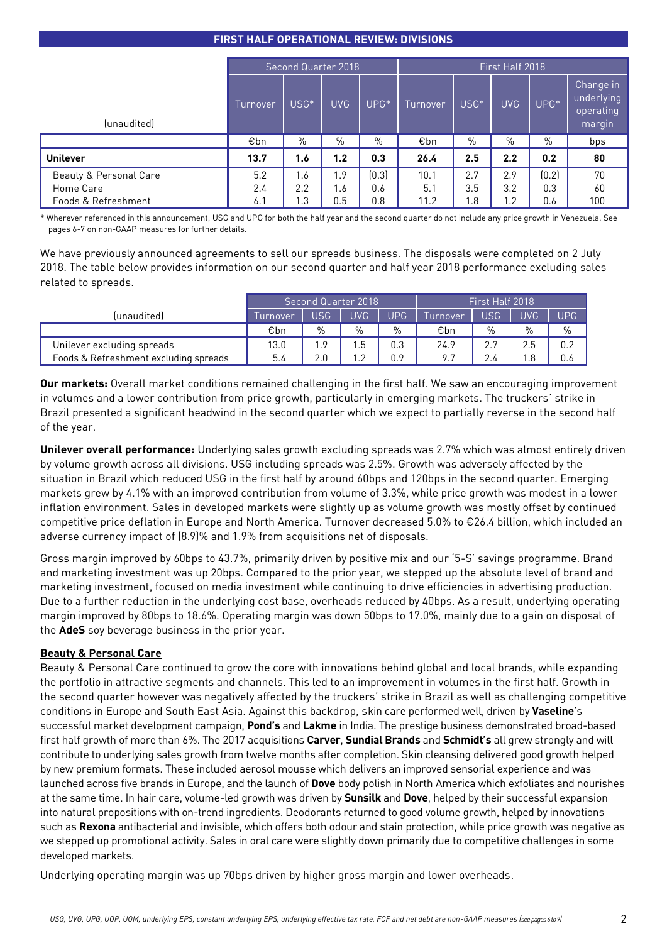## **FIRST HALF OPERATIONAL REVIEW: DIVISIONS**

|                        | Second Quarter 2018 |        |            |        |                 |        | First Half 2018 |       |                                                |
|------------------------|---------------------|--------|------------|--------|-----------------|--------|-----------------|-------|------------------------------------------------|
| (unaudited)            | Turnover            | $USG*$ | <b>UVG</b> | $UPG*$ | <b>Turnover</b> | $USG*$ | <b>UVG</b>      | UPG*  | Change in<br>underlying<br>operating<br>margin |
|                        | €bn                 | $\%$   | $\%$       | %      | €bn             | $\%$   | $\%$            | $\%$  | bps                                            |
| <b>Unilever</b>        | 13.7                | 1.6    | 1.2        | 0.3    | 26.4            | 2.5    | 2.2             | 0.2   | 80                                             |
| Beauty & Personal Care | 5.2                 | 1.6    | 1.9        | (0.3)  | 10.1            | 2.7    | 2.9             | (0.2) | 70                                             |
| Home Care              | 2.4                 | 2.2    | 1.6        | 0.6    | 5.1             | 3.5    | 3.2             | 0.3   | 60                                             |
| Foods & Refreshment    | 6.1                 | 1.3    | 0.5        | 0.8    | 11.2            | .8     | 1.2             | 0.6   | 100                                            |

\* Wherever referenced in this announcement, USG and UPG for both the half year and the second quarter do not include any price growth in Venezuela. See pages 6-7 on non-GAAP measures for further details.

We have previously announced agreements to sell our spreads business. The disposals were completed on 2 July 2018. The table below provides information on our second quarter and half year 2018 performance excluding sales related to spreads.

|                                       | Second Quarter 2018 |      |               |               | First Half 2018 |            |      |            |
|---------------------------------------|---------------------|------|---------------|---------------|-----------------|------------|------|------------|
| (unaudited)                           | Turnover            | USG  | <b>UVG</b>    | <b>UPG</b>    | Turnover        | <b>USG</b> | UVG. | <b>UPG</b> |
|                                       | €bn                 | $\%$ | $\frac{0}{0}$ | $\frac{0}{0}$ | €bn             | $\%$       | $\%$ | $\%$       |
| Unilever excluding spreads            | 13.0                | 1.9  | 1.5           | 0.3           | 24.9            | 2.7        | 2.5  | 0.2        |
| Foods & Refreshment excluding spreads | 5.4                 | 2.0  | 1 າ           | 0.9           | 9.7             | 2.4        |      | 0.6        |

**Our markets:** Overall market conditions remained challenging in the first half. We saw an encouraging improvement in volumes and a lower contribution from price growth, particularly in emerging markets. The truckers' strike in Brazil presented a significant headwind in the second quarter which we expect to partially reverse in the second half of the year.

**Unilever overall performance:** Underlying sales growth excluding spreads was 2.7% which was almost entirely driven by volume growth across all divisions. USG including spreads was 2.5%. Growth was adversely affected by the situation in Brazil which reduced USG in the first half by around 60bps and 120bps in the second quarter. Emerging markets grew by 4.1% with an improved contribution from volume of 3.3%, while price growth was modest in a lower inflation environment. Sales in developed markets were slightly up as volume growth was mostly offset by continued competitive price deflation in Europe and North America. Turnover decreased 5.0% to €26.4 billion, which included an adverse currency impact of (8.9)% and 1.9% from acquisitions net of disposals.

Gross margin improved by 60bps to 43.7%, primarily driven by positive mix and our '5-S' savings programme. Brand and marketing investment was up 20bps. Compared to the prior year, we stepped up the absolute level of brand and marketing investment, focused on media investment while continuing to drive efficiencies in advertising production. Due to a further reduction in the underlying cost base, overheads reduced by 40bps. As a result, underlying operating margin improved by 80bps to 18.6%. Operating margin was down 50bps to 17.0%, mainly due to a gain on disposal of the **AdeS** soy beverage business in the prior year.

## **Beauty & Personal Care**

Beauty & Personal Care continued to grow the core with innovations behind global and local brands, while expanding the portfolio in attractive segments and channels. This led to an improvement in volumes in the first half. Growth in the second quarter however was negatively affected by the truckers' strike in Brazil as well as challenging competitive conditions in Europe and South East Asia. Against this backdrop, skin care performed well, driven by **Vaseline**'s successful market development campaign, **Pond's** and **Lakme** in India. The prestige business demonstrated broad-based first half growth of more than 6%. The 2017 acquisitions **Carver**, **Sundial Brands** and **Schmidt's** all grew strongly and will contribute to underlying sales growth from twelve months after completion. Skin cleansing delivered good growth helped by new premium formats. These included aerosol mousse which delivers an improved sensorial experience and was launched across five brands in Europe, and the launch of **Dove** body polish in North America which exfoliates and nourishes at the same time. In hair care, volume-led growth was driven by **Sunsilk** and **Dove**, helped by their successful expansion into natural propositions with on-trend ingredients. Deodorants returned to good volume growth, helped by innovations such as **Rexona** antibacterial and invisible, which offers both odour and stain protection, while price growth was negative as we stepped up promotional activity. Sales in oral care were slightly down primarily due to competitive challenges in some developed markets.

Underlying operating margin was up 70bps driven by higher gross margin and lower overheads.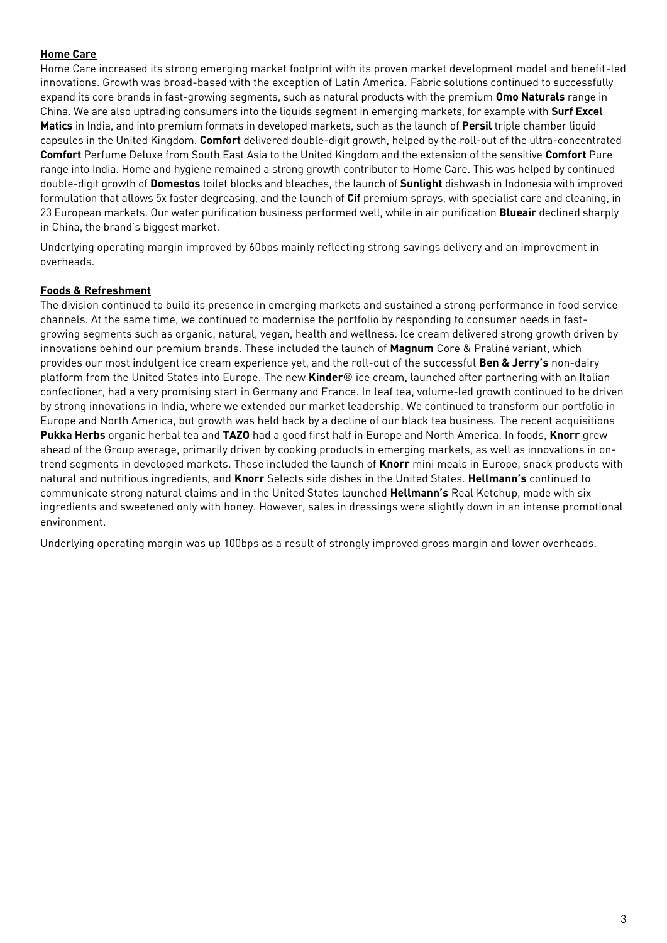## **Home Care**

Home Care increased its strong emerging market footprint with its proven market development model and benefit-led innovations. Growth was broad-based with the exception of Latin America. Fabric solutions continued to successfully expand its core brands in fast-growing segments, such as natural products with the premium **Omo Naturals** range in China. We are also uptrading consumers into the liquids segment in emerging markets, for example with **Surf Excel Matics** in India, and into premium formats in developed markets, such as the launch of **Persil** triple chamber liquid capsules in the United Kingdom. **Comfort** delivered double-digit growth, helped by the roll-out of the ultra-concentrated **Comfort** Perfume Deluxe from South East Asia to the United Kingdom and the extension of the sensitive **Comfort** Pure range into India. Home and hygiene remained a strong growth contributor to Home Care. This was helped by continued double-digit growth of **Domestos** toilet blocks and bleaches, the launch of **Sunlight** dishwash in Indonesia with improved formulation that allows 5x faster degreasing, and the launch of **Cif** premium sprays, with specialist care and cleaning, in 23 European markets. Our water purification business performed well, while in air purification **Blueair** declined sharply in China, the brand's biggest market.

Underlying operating margin improved by 60bps mainly reflecting strong savings delivery and an improvement in overheads.

## **Foods & Refreshment**

The division continued to build its presence in emerging markets and sustained a strong performance in food service channels. At the same time, we continued to modernise the portfolio by responding to consumer needs in fastgrowing segments such as organic, natural, vegan, health and wellness. Ice cream delivered strong growth driven by innovations behind our premium brands. These included the launch of **Magnum** Core & Praliné variant, which provides our most indulgent ice cream experience yet, and the roll-out of the successful **Ben & Jerry's** non-dairy platform from the United States into Europe. The new **Kinder**® ice cream, launched after partnering with an Italian confectioner, had a very promising start in Germany and France. In leaf tea, volume-led growth continued to be driven by strong innovations in India, where we extended our market leadership. We continued to transform our portfolio in Europe and North America, but growth was held back by a decline of our black tea business. The recent acquisitions **Pukka Herbs** organic herbal tea and **TAZO** had a good first half in Europe and North America. In foods, **Knorr** grew ahead of the Group average, primarily driven by cooking products in emerging markets, as well as innovations in ontrend segments in developed markets. These included the launch of **Knorr** mini meals in Europe, snack products with natural and nutritious ingredients, and **Knorr** Selects side dishes in the United States. **Hellmann's** continued to communicate strong natural claims and in the United States launched **Hellmann's** Real Ketchup, made with six ingredients and sweetened only with honey. However, sales in dressings were slightly down in an intense promotional environment.

Underlying operating margin was up 100bps as a result of strongly improved gross margin and lower overheads.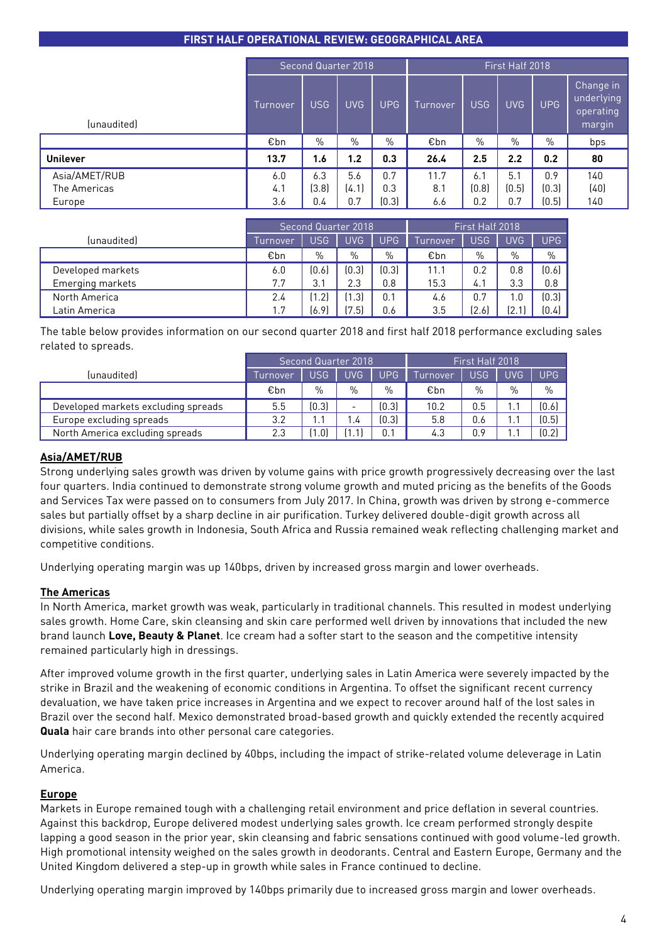## **FIRST HALF OPERATIONAL REVIEW: GEOGRAPHICAL AREA**

|                 | Second Quarter 2018 |            |            |            |          |            | First Half 2018 |            |                                                |
|-----------------|---------------------|------------|------------|------------|----------|------------|-----------------|------------|------------------------------------------------|
| (unaudited)     | Turnover            | <b>USG</b> | <b>UVG</b> | <b>UPG</b> | Turnover | <b>USG</b> | <b>UVG</b>      | <b>UPG</b> | Change in<br>underlying<br>operating<br>margin |
|                 | €bn                 | %          | $\%$       | $\%$       | €bn      | $\%$       | $\%$            | $\%$       | bps                                            |
| <b>Unilever</b> | 13.7                | 1.6        | 1.2        | 0.3        | 26.4     | 2.5        | 2.2             | 0.2        | 80                                             |
| Asia/AMET/RUB   | 6.0                 | 6.3        | 5.6        | 0.7        | 11.7     | 6.1        | 5.1             | 0.9        | 140                                            |
| The Americas    | 4.1                 | (3.8)      | (4.1)      | 0.3        | 8.1      | (0.8)      | (0.5)           | (0.3)      | (40)                                           |
| Europe          | 3.6                 | 0.4        | 0.7        | (0.3)      | 6.6      | 0.2        | 0.7             | (0.5)      | 140                                            |

|                   | Second Quarter 2018 |       |            |       | First Half 2018 |            |            |            |
|-------------------|---------------------|-------|------------|-------|-----------------|------------|------------|------------|
| (unaudited)       | Turnover            | USG   | <b>UVG</b> | UPG.  | urnover         | <b>USG</b> | <b>UVG</b> | <b>UPG</b> |
|                   | €bn                 | $\%$  | $\%$       | $\%$  | €bn             | %          | $\%$       | $\%$       |
| Developed markets | 6.0                 | [0.6] | (0.3)      | [0.3] | 11.1            | 0.2        | 0.8        | [0.6]      |
| Emerging markets  | 7.7                 | 3.1   | 2.3        | 0.8   | 15.3            | 4.1        | 3.3        | 0.8        |
| North America     | 2.4                 | (1.2) | (1.3)      | 0.1   | 4.6             | 0.7        | 1.0        | (0.3)      |
| Latin America     | 1.7                 | (6.9) | 7.5        | 0.6   | 3.5             | (2.6)      | (2.1)      | (0.4)      |

The table below provides information on our second quarter 2018 and first half 2018 performance excluding sales related to spreads.

|                                     | Second Quarter 2018 |               |                          |       | First Half 2018 |            |            |            |
|-------------------------------------|---------------------|---------------|--------------------------|-------|-----------------|------------|------------|------------|
| (unaudited)                         | Furnover            | JSG.          | <b>UVG</b>               | UPG   | Turnover        | <b>USG</b> | <b>UVG</b> | <b>UPG</b> |
|                                     | €bn                 | $\frac{0}{0}$ | $\%$                     | $\%$  | €bn             | $\%$       | $\%$       | $\%$       |
| Developed markets excluding spreads | 5.5                 | (0.3)         | $\overline{\phantom{0}}$ | (0.3) | 10.2            | 0.5        | ۱.1        | (0.6)      |
| Europe excluding spreads            | 3.2                 |               | 1.4                      | (0.3) | 5.8             | 0.6        | 1.1        | (0.5)      |
| North America excluding spreads     | 2.3                 | 1.0           | (1.1)                    | 0.1   | 4.3             | 0.9        | ∣.1        | (0.2)      |

## **Asia/AMET/RUB**

Strong underlying sales growth was driven by volume gains with price growth progressively decreasing over the last four quarters. India continued to demonstrate strong volume growth and muted pricing as the benefits of the Goods and Services Tax were passed on to consumers from July 2017. In China, growth was driven by strong e-commerce sales but partially offset by a sharp decline in air purification. Turkey delivered double-digit growth across all divisions, while sales growth in Indonesia, South Africa and Russia remained weak reflecting challenging market and competitive conditions.

Underlying operating margin was up 140bps, driven by increased gross margin and lower overheads.

## **The Americas**

In North America, market growth was weak, particularly in traditional channels. This resulted in modest underlying sales growth. Home Care, skin cleansing and skin care performed well driven by innovations that included the new brand launch **Love, Beauty & Planet**. Ice cream had a softer start to the season and the competitive intensity remained particularly high in dressings.

After improved volume growth in the first quarter, underlying sales in Latin America were severely impacted by the strike in Brazil and the weakening of economic conditions in Argentina. To offset the significant recent currency devaluation, we have taken price increases in Argentina and we expect to recover around half of the lost sales in Brazil over the second half. Mexico demonstrated broad-based growth and quickly extended the recently acquired **Quala** hair care brands into other personal care categories.

Underlying operating margin declined by 40bps, including the impact of strike-related volume deleverage in Latin America.

## **Europe**

Markets in Europe remained tough with a challenging retail environment and price deflation in several countries. Against this backdrop, Europe delivered modest underlying sales growth. Ice cream performed strongly despite lapping a good season in the prior year, skin cleansing and fabric sensations continued with good volume-led growth. High promotional intensity weighed on the sales growth in deodorants. Central and Eastern Europe, Germany and the United Kingdom delivered a step-up in growth while sales in France continued to decline.

Underlying operating margin improved by 140bps primarily due to increased gross margin and lower overheads.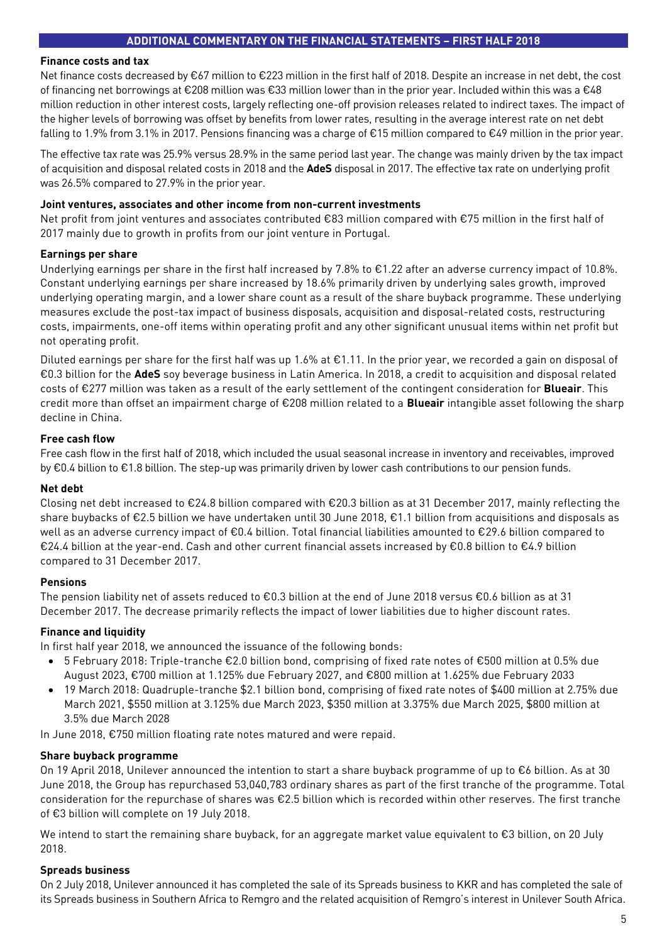#### **Finance costs and tax**

Net finance costs decreased by €67 million to €223 million in the first half of 2018. Despite an increase in net debt, the cost of financing net borrowings at €208 million was €33 million lower than in the prior year. Included within this was a €48 million reduction in other interest costs, largely reflecting one-off provision releases related to indirect taxes. The impact of the higher levels of borrowing was offset by benefits from lower rates, resulting in the average interest rate on net debt falling to 1.9% from 3.1% in 2017. Pensions financing was a charge of €15 million compared to €49 million in the prior year.

The effective tax rate was 25.9% versus 28.9% in the same period last year. The change was mainly driven by the tax impact of acquisition and disposal related costs in 2018 and the **AdeS** disposal in 2017. The effective tax rate on underlying profit was 26.5% compared to 27.9% in the prior year.

## **Joint ventures, associates and other income from non-current investments**

Net profit from joint ventures and associates contributed €83 million compared with €75 million in the first half of 2017 mainly due to growth in profits from our joint venture in Portugal.

### **Earnings per share**

Underlying earnings per share in the first half increased by 7.8% to €1.22 after an adverse currency impact of 10.8%. Constant underlying earnings per share increased by 18.6% primarily driven by underlying sales growth, improved underlying operating margin, and a lower share count as a result of the share buyback programme. These underlying measures exclude the post-tax impact of business disposals, acquisition and disposal-related costs, restructuring costs, impairments, one-off items within operating profit and any other significant unusual items within net profit but not operating profit.

Diluted earnings per share for the first half was up 1.6% at €1.11. In the prior year, we recorded a gain on disposal of €0.3 billion for the **AdeS** soy beverage business in Latin America. In 2018, a credit to acquisition and disposal related costs of €277 million was taken as a result of the early settlement of the contingent consideration for **Blueair**. This credit more than offset an impairment charge of €208 million related to a **Blueair** intangible asset following the sharp decline in China.

## **Free cash flow**

Free cash flow in the first half of 2018, which included the usual seasonal increase in inventory and receivables, improved by €0.4 billion to €1.8 billion. The step-up was primarily driven by lower cash contributions to our pension funds.

#### **Net debt**

Closing net debt increased to €24.8 billion compared with €20.3 billion as at 31 December 2017, mainly reflecting the share buybacks of €2.5 billion we have undertaken until 30 June 2018, €1.1 billion from acquisitions and disposals as well as an adverse currency impact of €0.4 billion. Total financial liabilities amounted to €29.6 billion compared to €24.4 billion at the year-end. Cash and other current financial assets increased by €0.8 billion to €4.9 billion compared to 31 December 2017.

#### **Pensions**

The pension liability net of assets reduced to €0.3 billion at the end of June 2018 versus €0.6 billion as at 31 December 2017. The decrease primarily reflects the impact of lower liabilities due to higher discount rates.

## **Finance and liquidity**

In first half year 2018, we announced the issuance of the following bonds:

- 5 February 2018: Triple-tranche €2.0 billion bond, comprising of fixed rate notes of €500 million at 0.5% due August 2023, €700 million at 1.125% due February 2027, and €800 million at 1.625% due February 2033
- 19 March 2018: Quadruple-tranche \$2.1 billion bond, comprising of fixed rate notes of \$400 million at 2.75% due March 2021, \$550 million at 3.125% due March 2023, \$350 million at 3.375% due March 2025, \$800 million at 3.5% due March 2028

In June 2018, €750 million floating rate notes matured and were repaid.

#### **Share buyback programme**

On 19 April 2018, Unilever announced the intention to start a share buyback programme of up to €6 billion. As at 30 June 2018, the Group has repurchased 53,040,783 ordinary shares as part of the first tranche of the programme. Total consideration for the repurchase of shares was €2.5 billion which is recorded within other reserves. The first tranche of €3 billion will complete on 19 July 2018.

We intend to start the remaining share buyback, for an aggregate market value equivalent to €3 billion, on 20 July 2018.

## **Spreads business**

On 2 July 2018, Unilever announced it has completed the sale of its Spreads business to KKR and has completed the sale of its Spreads business in Southern Africa to Remgro and the related acquisition of Remgro's interest in Unilever South Africa.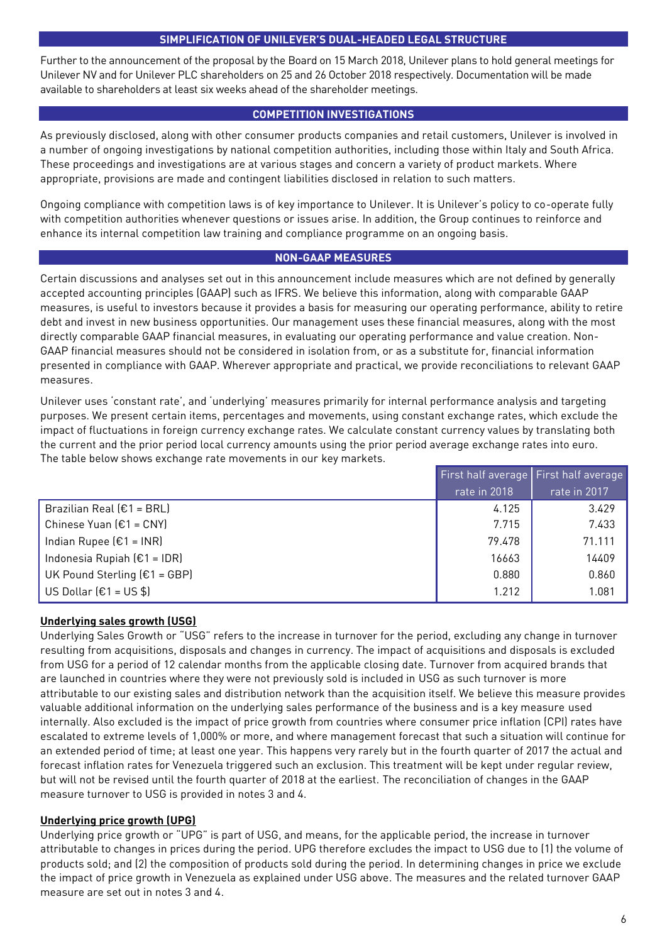## **SIMPLIFICATION OF UNILEVER'S DUAL-HEADED LEGAL STRUCTURE**

Further to the announcement of the proposal by the Board on 15 March 2018, Unilever plans to hold general meetings for Unilever NV and for Unilever PLC shareholders on 25 and 26 October 2018 respectively. Documentation will be made available to shareholders at least six weeks ahead of the shareholder meetings.

## **COMPETITION INVESTIGATIONS**

As previously disclosed, along with other consumer products companies and retail customers, Unilever is involved in a number of ongoing investigations by national competition authorities, including those within Italy and South Africa. These proceedings and investigations are at various stages and concern a variety of product markets. Where appropriate, provisions are made and contingent liabilities disclosed in relation to such matters.

Ongoing compliance with competition laws is of key importance to Unilever. It is Unilever's policy to co-operate fully with competition authorities whenever questions or issues arise. In addition, the Group continues to reinforce and enhance its internal competition law training and compliance programme on an ongoing basis.

## **NON-GAAP MEASURES**

Certain discussions and analyses set out in this announcement include measures which are not defined by generally accepted accounting principles (GAAP) such as IFRS. We believe this information, along with comparable GAAP measures, is useful to investors because it provides a basis for measuring our operating performance, ability to retire debt and invest in new business opportunities. Our management uses these financial measures, along with the most directly comparable GAAP financial measures, in evaluating our operating performance and value creation. Non-GAAP financial measures should not be considered in isolation from, or as a substitute for, financial information presented in compliance with GAAP. Wherever appropriate and practical, we provide reconciliations to relevant GAAP measures.

Unilever uses 'constant rate', and 'underlying' measures primarily for internal performance analysis and targeting purposes. We present certain items, percentages and movements, using constant exchange rates, which exclude the impact of fluctuations in foreign currency exchange rates. We calculate constant currency values by translating both the current and the prior period local currency amounts using the prior period average exchange rates into euro. The table below shows exchange rate movements in our key markets.

|                                | First half average First half average |              |
|--------------------------------|---------------------------------------|--------------|
|                                | rate in 2018                          | rate in 2017 |
| Brazilian Real $[€1 = BRL]$    | 4.125                                 | 3.429        |
| Chinese Yuan $E1 = CNY$        | 7.715                                 | 7.433        |
| Indian Rupee $[£1 = INR]$      | 79.478                                | 71.111       |
| Indonesia Rupiah $E1 = IDR$    | 16663                                 | 14409        |
| UK Pound Sterling $(E1 = GBP)$ | 0.880                                 | 0.860        |
| US Dollar $[£1 = US $]$        | 1.212                                 | 1.081        |

## **Underlying sales growth (USG)**

Underlying Sales Growth or "USG" refers to the increase in turnover for the period, excluding any change in turnover resulting from acquisitions, disposals and changes in currency. The impact of acquisitions and disposals is excluded from USG for a period of 12 calendar months from the applicable closing date. Turnover from acquired brands that are launched in countries where they were not previously sold is included in USG as such turnover is more attributable to our existing sales and distribution network than the acquisition itself. We believe this measure provides valuable additional information on the underlying sales performance of the business and is a key measure used internally. Also excluded is the impact of price growth from countries where consumer price inflation (CPI) rates have escalated to extreme levels of 1,000% or more, and where management forecast that such a situation will continue for an extended period of time; at least one year. This happens very rarely but in the fourth quarter of 2017 the actual and forecast inflation rates for Venezuela triggered such an exclusion. This treatment will be kept under regular review, but will not be revised until the fourth quarter of 2018 at the earliest. The reconciliation of changes in the GAAP measure turnover to USG is provided in notes 3 and 4.

## **Underlying price growth (UPG)**

Underlying price growth or "UPG" is part of USG, and means, for the applicable period, the increase in turnover attributable to changes in prices during the period. UPG therefore excludes the impact to USG due to (1) the volume of products sold; and (2) the composition of products sold during the period. In determining changes in price we exclude the impact of price growth in Venezuela as explained under USG above. The measures and the related turnover GAAP measure are set out in notes 3 and 4.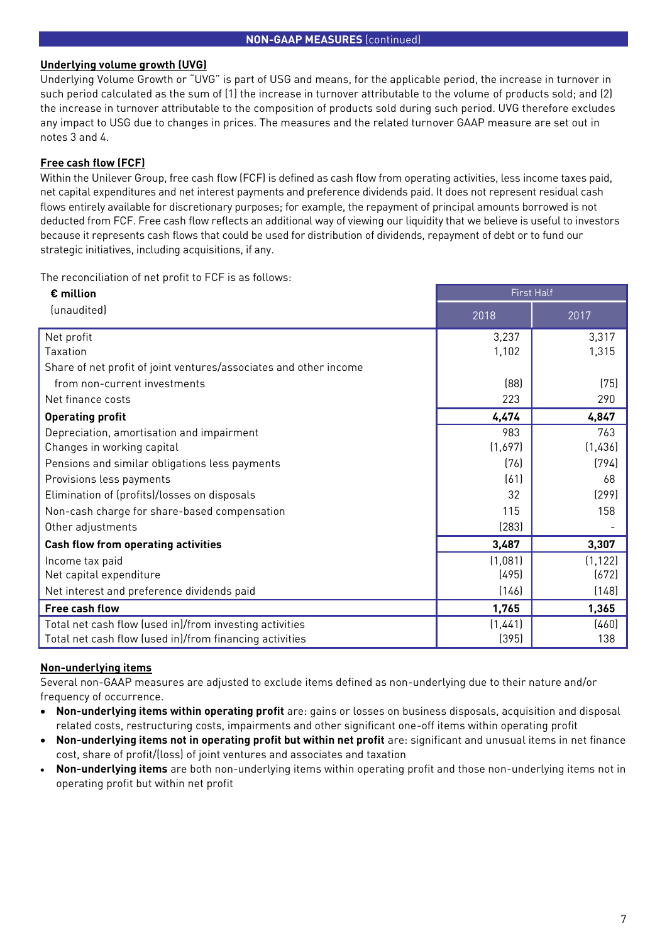#### **NON-GAAP MEASURES** (continued)

## **Underlying volume growth (UVG)**

Underlying Volume Growth or "UVG" is part of USG and means, for the applicable period, the increase in turnover in such period calculated as the sum of (1) the increase in turnover attributable to the volume of products sold; and (2) the increase in turnover attributable to the composition of products sold during such period. UVG therefore excludes any impact to USG due to changes in prices. The measures and the related turnover GAAP measure are set out in notes 3 and 4.

## **Free cash flow (FCF)**

Within the Unilever Group, free cash flow (FCF) is defined as cash flow from operating activities, less income taxes paid, net capital expenditures and net interest payments and preference dividends paid. It does not represent residual cash flows entirely available for discretionary purposes; for example, the repayment of principal amounts borrowed is not deducted from FCF. Free cash flow reflects an additional way of viewing our liquidity that we believe is useful to investors because it represents cash flows that could be used for distribution of dividends, repayment of debt or to fund our strategic initiatives, including acquisitions, if any.

The reconciliation of net profit to FCF is as follows:

| $\epsilon$ million                                                | <b>First Half</b> |          |  |  |
|-------------------------------------------------------------------|-------------------|----------|--|--|
| (unaudited)                                                       | 2018              | 2017     |  |  |
| Net profit                                                        | 3,237             | 3,317    |  |  |
| Taxation                                                          | 1,102             | 1,315    |  |  |
| Share of net profit of joint ventures/associates and other income |                   |          |  |  |
| from non-current investments                                      | (88)              | (75)     |  |  |
| Net finance costs                                                 | 223               | 290      |  |  |
| <b>Operating profit</b>                                           | 4,474             | 4,847    |  |  |
| Depreciation, amortisation and impairment                         | 983               | 763      |  |  |
| Changes in working capital                                        | (1,697)           | (1,436)  |  |  |
| Pensions and similar obligations less payments                    | (76)              | (794)    |  |  |
| Provisions less payments                                          | (61)              | 68       |  |  |
| Elimination of (profits)/losses on disposals                      | 32                | (299)    |  |  |
| Non-cash charge for share-based compensation                      | 115               | 158      |  |  |
| Other adjustments                                                 | (283)             |          |  |  |
| <b>Cash flow from operating activities</b>                        | 3,487             | 3,307    |  |  |
| Income tax paid                                                   | (1,081)           | (1, 122) |  |  |
| Net capital expenditure                                           | (495)             | (672)    |  |  |
| Net interest and preference dividends paid                        | (146)             | (148)    |  |  |
| <b>Free cash flow</b>                                             | 1,765             | 1,365    |  |  |
| Total net cash flow (used in)/from investing activities           | (1,441)           | (460)    |  |  |
| Total net cash flow (used in)/from financing activities           | (395)             | 138      |  |  |

## **Non-underlying items**

Several non-GAAP measures are adjusted to exclude items defined as non-underlying due to their nature and/or frequency of occurrence.

- **Non-underlying items within operating profit** are: gains or losses on business disposals, acquisition and disposal related costs, restructuring costs, impairments and other significant one-off items within operating profit
- **Non-underlying items not in operating profit but within net profit** are: significant and unusual items in net finance cost, share of profit/(loss) of joint ventures and associates and taxation
- **Non-underlying items** are both non-underlying items within operating profit and those non-underlying items not in operating profit but within net profit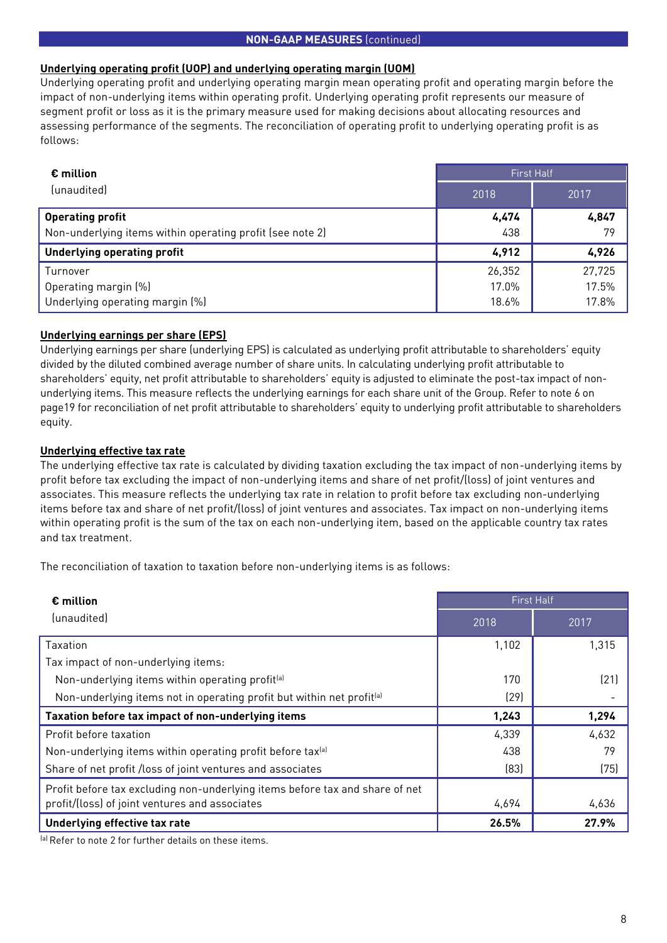## **NON-GAAP MEASURES** (continued)

## **Underlying operating profit (UOP) and underlying operating margin (UOM)**

Underlying operating profit and underlying operating margin mean operating profit and operating margin before the impact of non-underlying items within operating profit. Underlying operating profit represents our measure of segment profit or loss as it is the primary measure used for making decisions about allocating resources and assessing performance of the segments. The reconciliation of operating profit to underlying operating profit is as follows:

| $\epsilon$ million                                        | <b>First Half</b> |        |  |  |
|-----------------------------------------------------------|-------------------|--------|--|--|
| (unaudited)                                               | 2018              | 2017   |  |  |
| <b>Operating profit</b>                                   | 4,474             | 4,847  |  |  |
| Non-underlying items within operating profit (see note 2) | 438               | 79     |  |  |
| <b>Underlying operating profit</b>                        | 4,912             | 4,926  |  |  |
| Turnover                                                  | 26,352            | 27,725 |  |  |
| Operating margin (%)                                      | 17.0%             | 17.5%  |  |  |
| Underlying operating margin (%)                           | 18.6%             | 17.8%  |  |  |

## **Underlying earnings per share (EPS)**

Underlying earnings per share (underlying EPS) is calculated as underlying profit attributable to shareholders' equity divided by the diluted combined average number of share units. In calculating underlying profit attributable to shareholders' equity, net profit attributable to shareholders' equity is adjusted to eliminate the post-tax impact of nonunderlying items. This measure reflects the underlying earnings for each share unit of the Group. Refer to note 6 on page19 for reconciliation of net profit attributable to shareholders' equity to underlying profit attributable to shareholders equity.

## **Underlying effective tax rate**

The underlying effective tax rate is calculated by dividing taxation excluding the tax impact of non-underlying items by profit before tax excluding the impact of non-underlying items and share of net profit/(loss) of joint ventures and associates. This measure reflects the underlying tax rate in relation to profit before tax excluding non-underlying items before tax and share of net profit/(loss) of joint ventures and associates. Tax impact on non-underlying items within operating profit is the sum of the tax on each non-underlying item, based on the applicable country tax rates and tax treatment.

The reconciliation of taxation to taxation before non-underlying items is as follows:

| $\epsilon$ million                                                                | <b>First Half</b> |       |  |  |
|-----------------------------------------------------------------------------------|-------------------|-------|--|--|
| (unaudited)                                                                       | 2018              | 2017  |  |  |
| Taxation                                                                          | 1,102             | 1,315 |  |  |
| Tax impact of non-underlying items:                                               |                   |       |  |  |
| Non-underlying items within operating profit <sup>(a)</sup>                       | 170               | (21)  |  |  |
| Non-underlying items not in operating profit but within net profit <sup>[a]</sup> | (29)              |       |  |  |
| Taxation before tax impact of non-underlying items                                | 1,243             | 1,294 |  |  |
| Profit before taxation                                                            | 4,339             | 4,632 |  |  |
| Non-underlying items within operating profit before tax <sup>(a)</sup>            | 438               | 79    |  |  |
| Share of net profit /loss of joint ventures and associates                        | [83]              | (75)  |  |  |
| Profit before tax excluding non-underlying items before tax and share of net      |                   |       |  |  |
| profit/(loss) of joint ventures and associates                                    | 4,694             | 4,636 |  |  |
| Underlying effective tax rate                                                     | 26.5%             | 27.9% |  |  |

(a) Refer to note 2 for further details on these items.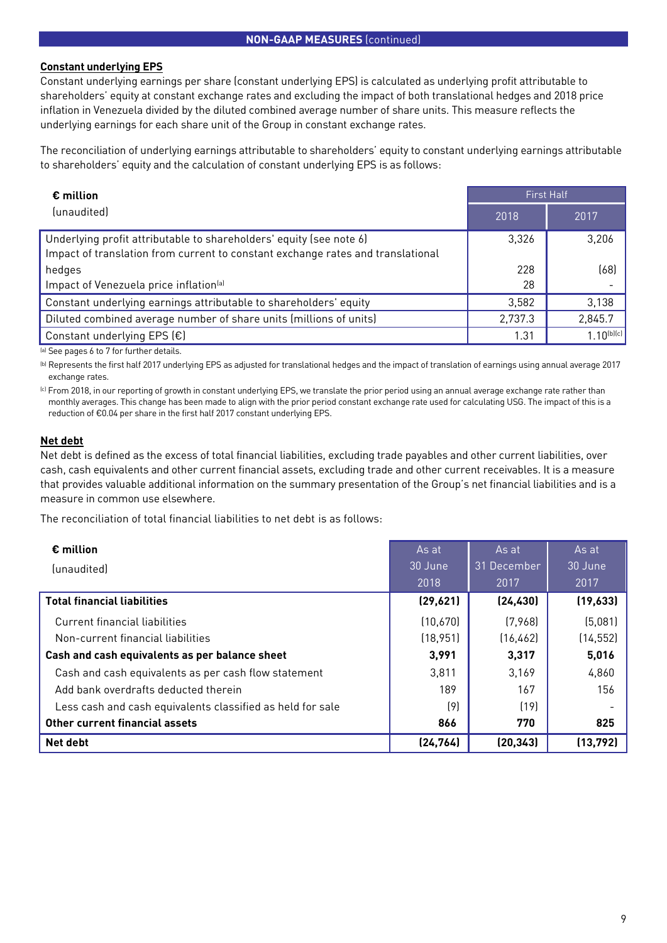## **Constant underlying EPS**

Constant underlying earnings per share (constant underlying EPS) is calculated as underlying profit attributable to shareholders' equity at constant exchange rates and excluding the impact of both translational hedges and 2018 price inflation in Venezuela divided by the diluted combined average number of share units. This measure reflects the underlying earnings for each share unit of the Group in constant exchange rates.

The reconciliation of underlying earnings attributable to shareholders' equity to constant underlying earnings attributable to shareholders' equity and the calculation of constant underlying EPS is as follows:

| $\epsilon$ million                                                              | <b>First Half</b> |                       |  |  |
|---------------------------------------------------------------------------------|-------------------|-----------------------|--|--|
| (unaudited)                                                                     | 2018              | 2017                  |  |  |
| Underlying profit attributable to shareholders' equity (see note 6)             | 3,326             | 3,206                 |  |  |
| Impact of translation from current to constant exchange rates and translational |                   |                       |  |  |
| hedges                                                                          | 228               | (68)                  |  |  |
| Impact of Venezuela price inflation <sup>[a]</sup>                              | 28                |                       |  |  |
| Constant underlying earnings attributable to shareholders' equity               | 3,582             | 3,138                 |  |  |
| Diluted combined average number of share units (millions of units)              | 2,737.3           | 2,845.7               |  |  |
| Constant underlying EPS (€)                                                     | 1.31              | 1 1 $\Omega^{[b][c]}$ |  |  |

(a) See pages 6 to 7 for further details.

(b) Represents the first half 2017 underlying EPS as adjusted for translational hedges and the impact of translation of earnings using annual average 2017 exchange rates.

(c) From 2018, in our reporting of growth in constant underlying EPS, we translate the prior period using an annual average exchange rate rather than monthly averages. This change has been made to align with the prior period constant exchange rate used for calculating USG. The impact of this is a reduction of €0.04 per share in the first half 2017 constant underlying EPS.

## **Net debt**

Net debt is defined as the excess of total financial liabilities, excluding trade payables and other current liabilities, over cash, cash equivalents and other current financial assets, excluding trade and other current receivables. It is a measure that provides valuable additional information on the summary presentation of the Group's net financial liabilities and is a measure in common use elsewhere.

The reconciliation of total financial liabilities to net debt is as follows:

| $\epsilon$ million                                         | As at     | As at       | As at     |
|------------------------------------------------------------|-----------|-------------|-----------|
| (unaudited)                                                | 30 June   | 31 December | 30 June   |
|                                                            | 2018      | 2017        | 2017      |
| <b>Total financial liabilities</b>                         | (29, 621) | (24, 430)   | (19, 633) |
| Current financial liabilities                              | (10,670)  | (7,968)     | (5,081)   |
| Non-current financial liabilities                          | (18, 951) | (16, 462)   | (14, 552) |
| Cash and cash equivalents as per balance sheet             | 3,991     | 3,317       | 5,016     |
| Cash and cash equivalents as per cash flow statement       | 3,811     | 3,169       | 4,860     |
| Add bank overdrafts deducted therein                       | 189       | 167         | 156       |
| Less cash and cash equivalents classified as held for sale | (9)       | (19)        |           |
| Other current financial assets                             | 866       | 770         | 825       |
| Net debt                                                   | (24, 764) | (20, 343)   | (13, 792) |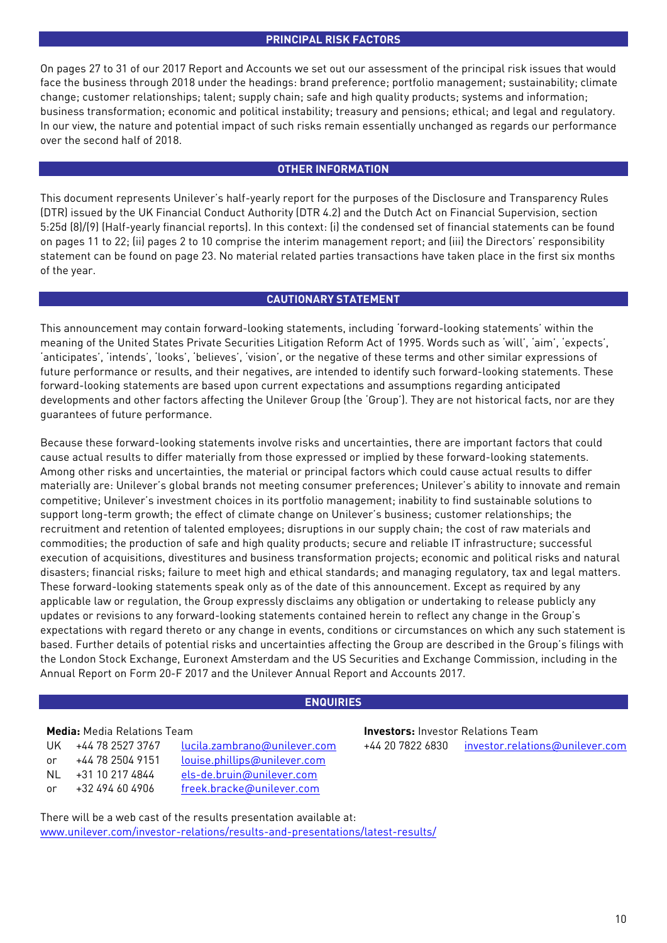#### **PRINCIPAL RISK FACTORS**

On pages 27 to 31 of our 2017 Report and Accounts we set out our assessment of the principal risk issues that would face the business through 2018 under the headings: brand preference; portfolio management; sustainability; climate change; customer relationships; talent; supply chain; safe and high quality products; systems and information; business transformation; economic and political instability; treasury and pensions; ethical; and legal and regulatory. In our view, the nature and potential impact of such risks remain essentially unchanged as regards our performance over the second half of 2018.

## **OTHER INFORMATION**

This document represents Unilever's half-yearly report for the purposes of the Disclosure and Transparency Rules (DTR) issued by the UK Financial Conduct Authority (DTR 4.2) and the Dutch Act on Financial Supervision, section 5:25d (8)/(9) (Half-yearly financial reports). In this context: (i) the condensed set of financial statements can be found on pages 11 to 22; (ii) pages 2 to 10 comprise the interim management report; and (iii) the Directors' responsibility statement can be found on page 23. No material related parties transactions have taken place in the first six months of the year.

## **CAUTIONARY STATEMENT**

This announcement may contain forward-looking statements, including 'forward-looking statements' within the meaning of the United States Private Securities Litigation Reform Act of 1995. Words such as 'will', 'aim', 'expects', 'anticipates', 'intends', 'looks', 'believes', 'vision', or the negative of these terms and other similar expressions of future performance or results, and their negatives, are intended to identify such forward-looking statements. These forward-looking statements are based upon current expectations and assumptions regarding anticipated developments and other factors affecting the Unilever Group (the 'Group'). They are not historical facts, nor are they guarantees of future performance.

Because these forward-looking statements involve risks and uncertainties, there are important factors that could cause actual results to differ materially from those expressed or implied by these forward-looking statements. Among other risks and uncertainties, the material or principal factors which could cause actual results to differ materially are: Unilever's global brands not meeting consumer preferences; Unilever's ability to innovate and remain competitive; Unilever's investment choices in its portfolio management; inability to find sustainable solutions to support long-term growth; the effect of climate change on Unilever's business; customer relationships; the recruitment and retention of talented employees; disruptions in our supply chain; the cost of raw materials and commodities; the production of safe and high quality products; secure and reliable IT infrastructure; successful execution of acquisitions, divestitures and business transformation projects; economic and political risks and natural disasters; financial risks; failure to meet high and ethical standards; and managing regulatory, tax and legal matters. These forward-looking statements speak only as of the date of this announcement. Except as required by any applicable law or regulation, the Group expressly disclaims any obligation or undertaking to release publicly any updates or revisions to any forward-looking statements contained herein to reflect any change in the Group's expectations with regard thereto or any change in events, conditions or circumstances on which any such statement is based. Further details of potential risks and uncertainties affecting the Group are described in the Group's filings with the London Stock Exchange, Euronext Amsterdam and the US Securities and Exchange Commission, including in the Annual Report on Form 20-F 2017 and the Unilever Annual Report and Accounts 2017.

## **ENQUIRIES**

UK or NL or +44 78 2527 3767 +44 78 2504 9151 +31 10 217 4844 +32 494 60 4906

- [lucila.zambrano@unilever.com](mailto:lucila.zambrano@unilever.com) [louise.phillips@unilever.com](mailto:louise.phillips@unilever.com) [els-de.bruin@unilever.com](mailto:els-de.bruin@unilever.com)
- [freek.bracke@unilever.com](mailto:freek.bracke@unilever.com)

There will be a web cast of the results presentation available at: [www.unilever.com/investor-relations/results-and-presentations/latest-results/](https://www.unilever.com/investor-relations/results-and-presentations/latest-results/?utm_source=Qresults&utm_medium=Results-PDF)

**Media:** Media Relations Team **Investors:** Investor Relations Team +44 20 7822 6830 [investor.relations@unilever.com](mailto:investor.relations@unilever.com)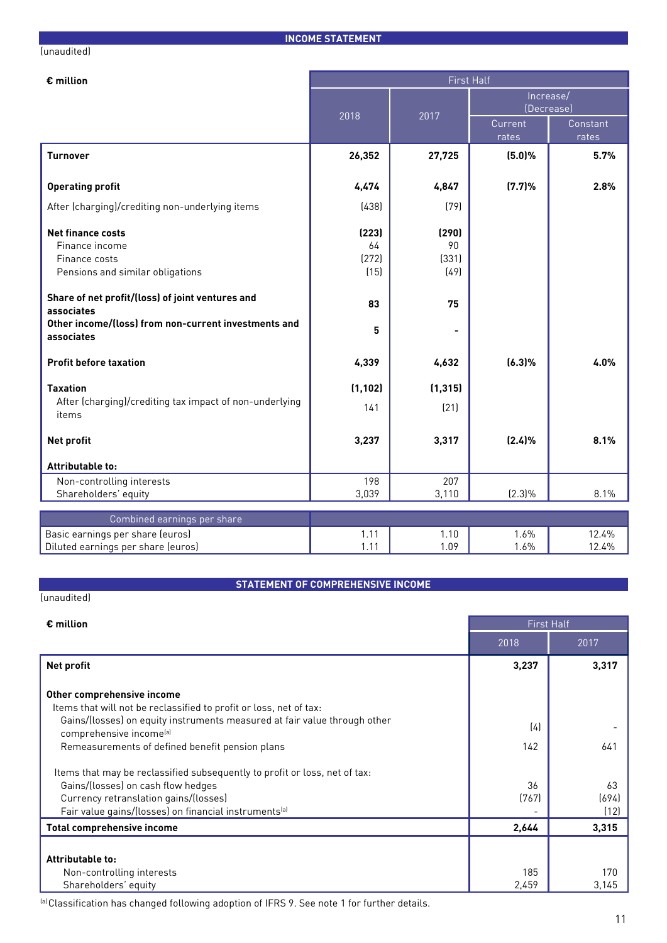**INCOME STATEMENT**

| € million                                                                                       | <b>First Half</b>            |                              |                         |                   |  |  |
|-------------------------------------------------------------------------------------------------|------------------------------|------------------------------|-------------------------|-------------------|--|--|
|                                                                                                 | 2018                         | 2017                         | Increase/<br>(Decrease) |                   |  |  |
|                                                                                                 |                              |                              | Current<br>rates        | Constant<br>rates |  |  |
| <b>Turnover</b>                                                                                 | 26,352                       | 27,725                       | (5.0%                   | 5.7%              |  |  |
| <b>Operating profit</b>                                                                         | 4,474                        | 4,847                        | (7.7)%                  | 2.8%              |  |  |
| After (charging)/crediting non-underlying items                                                 | (438)                        | (79)                         |                         |                   |  |  |
| <b>Net finance costs</b><br>Finance income<br>Finance costs<br>Pensions and similar obligations | (223)<br>64<br>(272)<br>(15) | (290)<br>90<br>(331)<br>(49) |                         |                   |  |  |
| Share of net profit/(loss) of joint ventures and<br>associates                                  | 83                           | 75                           |                         |                   |  |  |
| Other income/(loss) from non-current investments and<br>associates                              | 5                            |                              |                         |                   |  |  |
| <b>Profit before taxation</b>                                                                   | 4,339                        | 4,632                        | (6.3)%                  | 4.0%              |  |  |
| <b>Taxation</b>                                                                                 | (1, 102)                     | (1, 315)                     |                         |                   |  |  |
| After (charging)/crediting tax impact of non-underlying<br>items                                | 141                          | (21)                         |                         |                   |  |  |
| Net profit                                                                                      | 3,237                        | 3,317                        | $(2.4)\%$               | 8.1%              |  |  |
| Attributable to:                                                                                |                              |                              |                         |                   |  |  |
| Non-controlling interests<br>Shareholders' equity                                               | 198<br>3,039                 | 207<br>3,110                 | $(2.3)\%$               | 8.1%              |  |  |
| Combined earnings per share                                                                     |                              |                              |                         |                   |  |  |
| Basic earnings per share (euros)                                                                | 1.11                         | 1.10                         | 1.6%                    | 12.4%             |  |  |
| Diluted earnings per share (euros)                                                              | 1.11                         | 1.09                         | 1.6%                    | 12.4%             |  |  |

## **STATEMENT OF COMPREHENSIVE INCOME**

#### (unaudited)

| $\epsilon$ million                                                                                               | First Half |       |
|------------------------------------------------------------------------------------------------------------------|------------|-------|
|                                                                                                                  | 2018       | 2017  |
| Net profit                                                                                                       | 3,237      | 3,317 |
| Other comprehensive income<br>Items that will not be reclassified to profit or loss, net of tax:                 |            |       |
| Gains/(losses) on equity instruments measured at fair value through other<br>comprehensive income <sup>[a]</sup> | (4)        |       |
| Remeasurements of defined benefit pension plans                                                                  | 142        | 641   |
| Items that may be reclassified subsequently to profit or loss, net of tax:                                       |            |       |
| Gains/(losses) on cash flow hedges                                                                               | 36         | 63    |
| Currency retranslation gains/(losses)                                                                            | (767)      | (694) |
| Fair value gains/(losses) on financial instruments <sup>[a]</sup>                                                |            | (12)  |
| <b>Total comprehensive income</b>                                                                                | 2,644      | 3,315 |
|                                                                                                                  |            |       |
| Attributable to:                                                                                                 |            |       |
| Non-controlling interests                                                                                        | 185        | 170   |
| Shareholders' equity                                                                                             | 2,459      | 3,145 |

(a) Classification has changed following adoption of IFRS 9. See note 1 for further details.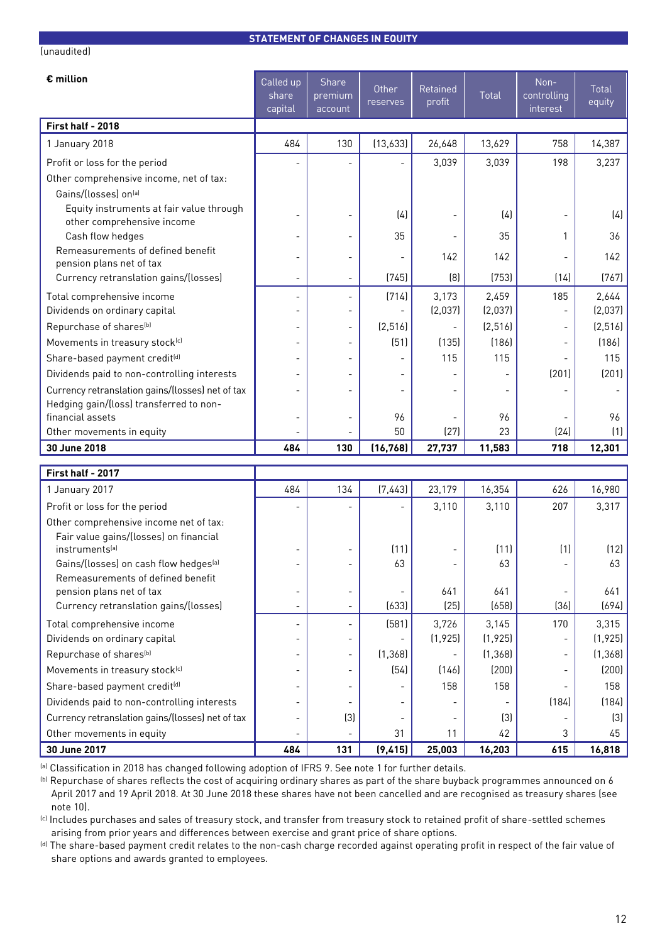#### **STATEMENT OF CHANGES IN EQUITY**

| $\epsilon$ million                                                     | Called up<br>share<br>capital | Share<br>premium<br>account | Other<br>reserves | Retained<br>profit | Total    | Non-<br>controlling<br>interest | <b>Total</b><br>equity |
|------------------------------------------------------------------------|-------------------------------|-----------------------------|-------------------|--------------------|----------|---------------------------------|------------------------|
| First half - 2018                                                      |                               |                             |                   |                    |          |                                 |                        |
| 1 January 2018                                                         | 484                           | 130                         | (13, 633)         | 26,648             | 13,629   | 758                             | 14,387                 |
| Profit or loss for the period                                          |                               |                             |                   | 3,039              | 3,039    | 198                             | 3,237                  |
| Other comprehensive income, net of tax:                                |                               |                             |                   |                    |          |                                 |                        |
| Gains/(losses) on(a)                                                   |                               |                             |                   |                    |          |                                 |                        |
| Equity instruments at fair value through<br>other comprehensive income |                               |                             | (4)               |                    | (4)      |                                 | (4)                    |
| Cash flow hedges                                                       |                               |                             | 35                |                    | 35       |                                 | 36                     |
| Remeasurements of defined benefit<br>pension plans net of tax          | $\overline{\phantom{a}}$      | $\blacksquare$              |                   | 142                | 142      |                                 | 142                    |
| Currency retranslation gains/(losses)                                  | $\overline{a}$                |                             | (745)             | [8]                | (753)    | (14)                            | (767)                  |
| Total comprehensive income                                             | $\overline{a}$                | $\overline{a}$              | (714)             | 3,173              | 2,459    | 185                             | 2,644                  |
| Dividends on ordinary capital                                          |                               |                             |                   | (2,037)            | (2,037)  |                                 | (2,037)                |
| Repurchase of shares <sup>(b)</sup>                                    |                               | $\overline{\phantom{a}}$    | [2,516]           |                    | (2, 516) |                                 | (2, 516)               |
| Movements in treasury stock <sup>(c)</sup>                             |                               |                             | (51)              | (135)              | (186)    |                                 | (186)                  |
| Share-based payment credit <sup>(d)</sup>                              |                               |                             |                   | 115                | 115      |                                 | 115                    |
| Dividends paid to non-controlling interests                            |                               |                             |                   |                    |          | (201)                           | (201)                  |
| Currency retranslation gains/(losses) net of tax                       |                               |                             |                   |                    |          |                                 |                        |
| Hedging gain/(loss) transferred to non-                                |                               |                             |                   |                    |          |                                 |                        |
| financial assets                                                       | $\overline{\phantom{a}}$      |                             | 96                |                    | 96       |                                 | 96                     |
| Other movements in equity                                              |                               |                             | 50                | (27)               | 23       | [24]                            | (1)                    |
| 30 June 2018                                                           | 484                           | 130                         | (16, 768)         | 27,737             | 11,583   | 718                             | 12,301                 |
| First half - 2017                                                      |                               |                             |                   |                    |          |                                 |                        |
| 1 January 2017                                                         | 484                           | 134                         | (7,443)           | 23,179             | 16,354   | 626                             | 16,980                 |
| Profit or loss for the period                                          |                               |                             |                   | 3,110              | 3,110    | 207                             | 3,317                  |
| Other comprehensive income net of tax:                                 |                               |                             |                   |                    |          |                                 |                        |
| Fair value gains/(losses) on financial                                 |                               |                             |                   |                    |          |                                 |                        |

Gains/(losses) on cash flow hedges<sup>(a)</sup>  $\begin{vmatrix} 1 & 1 \\ -1 & -1 \end{vmatrix}$  and  $\begin{vmatrix} 63 & -1 \\ 63 & -1 \end{vmatrix}$  and  $\begin{vmatrix} 63 & -1 \\ -1 & 63 \end{vmatrix}$ Remeasurements of defined benefit pension plans net of tax  $\begin{vmatrix} -1 & -1 & -1 & -1 & 641 & 641 & -1 & 641 \end{vmatrix}$ Currency retranslation gains/(losses)  $\begin{vmatrix} 1 & 1 \\ -1 & 1 \end{vmatrix}$  =  $\begin{vmatrix} 633 \\ 633 \end{vmatrix}$  (558) (658) (36) (36) Total comprehensive income  $\begin{vmatrix} 1 & 1 & 1 \\ 1 & 1 & 1 \end{vmatrix}$   $\begin{vmatrix} -1 & 1 & 1 \\ -1 & 1 & 1 \end{vmatrix}$   $\begin{vmatrix} 581 \end{vmatrix}$   $\begin{vmatrix} 3,72 \end{vmatrix}$   $\begin{vmatrix} 3,145 \end{vmatrix}$  170  $\begin{vmatrix} 3,315 \end{vmatrix}$ Dividends on ordinary capital  $\begin{vmatrix} 1 & 0 & -1 \\ 0 & -1 & -1 \end{vmatrix}$  -  $\begin{vmatrix} 1 & 0 & -1 \\ 0 & -1 & 0 \end{vmatrix}$  (1,925)  $\begin{vmatrix} 1 & 0 & -1 \\ 0 & -1 & 0 \end{vmatrix}$  (1,925) Repurchase of shares<sup>(b)</sup>  $\begin{vmatrix} 1 & -1 \\ 1 & -1 \end{vmatrix}$   $\begin{vmatrix} 1,368 \end{vmatrix}$   $\begin{vmatrix} 1,368 \end{vmatrix}$   $\begin{vmatrix} 1,368 \end{vmatrix}$   $\begin{vmatrix} 1,368 \end{vmatrix}$   $\begin{vmatrix} 1,368 \end{vmatrix}$   $\begin{vmatrix} 1,368 \end{vmatrix}$ Movements in treasury stock<sup>(c)</sup>  $\begin{vmatrix} 1 & 2 & 3 \end{vmatrix}$  -  $\begin{vmatrix} 54 & 146 \end{vmatrix}$  (200)  $\begin{vmatrix} 146 & 200 \end{vmatrix}$  - (200) Share-based payment credit<sup>(d)</sup>  $\begin{vmatrix} 1 & 1 & 1 \end{vmatrix}$   $\begin{vmatrix} 1 & 1 \end{vmatrix}$   $\begin{vmatrix} 1 & 1 \end{vmatrix}$   $\begin{vmatrix} 1 & 1 \end{vmatrix}$   $\begin{vmatrix} 1 & 1 \end{vmatrix}$   $\begin{vmatrix} 1 & 1 \end{vmatrix}$   $\begin{vmatrix} 1 & 1 \end{vmatrix}$   $\begin{vmatrix} 1 & 1 \end{vmatrix}$   $\begin{vmatrix} 1 & 1 \end{vmatrix}$   $\begin{vmatrix$ Dividends paid to non-controlling interests  $\begin{vmatrix} - & - & - & - \\ - & - & - \end{vmatrix}$  -  $\begin{vmatrix} - & - & - \\ - & - & - \end{vmatrix}$  (184) (184) Currency retranslation gains/(losses) net of tax  $\begin{vmatrix} - & 1 \\ 3 & -1 \end{vmatrix}$  -  $\begin{vmatrix} - & 1 \\ - & - \end{vmatrix}$  - (3) Other movements in equity  $\begin{vmatrix} 1 & 1 & 3 & 3 & 42 & 3 & 3 & 45 \end{vmatrix}$ **30 June 2017 484 131 (9,415) 25,003 16,203 615 16,818**

 $\left| \begin{array}{ccc} | & | & | & | \end{array} \right|$  - (11)  $\left| \begin{array}{ccc} | & | & | \end{array} \right|$  (12)

(a) Classification in 2018 has changed following adoption of IFRS 9. See note 1 for further details.

(b) Repurchase of shares reflects the cost of acquiring ordinary shares as part of the share buyback programmes announced on 6 April 2017 and 19 April 2018. At 30 June 2018 these shares have not been cancelled and are recognised as treasury shares (see note 10).

(c) Includes purchases and sales of treasury stock, and transfer from treasury stock to retained profit of share-settled schemes arising from prior years and differences between exercise and grant price of share options.

<sup>(d)</sup> The share-based payment credit relates to the non-cash charge recorded against operating profit in respect of the fair value of share options and awards granted to employees.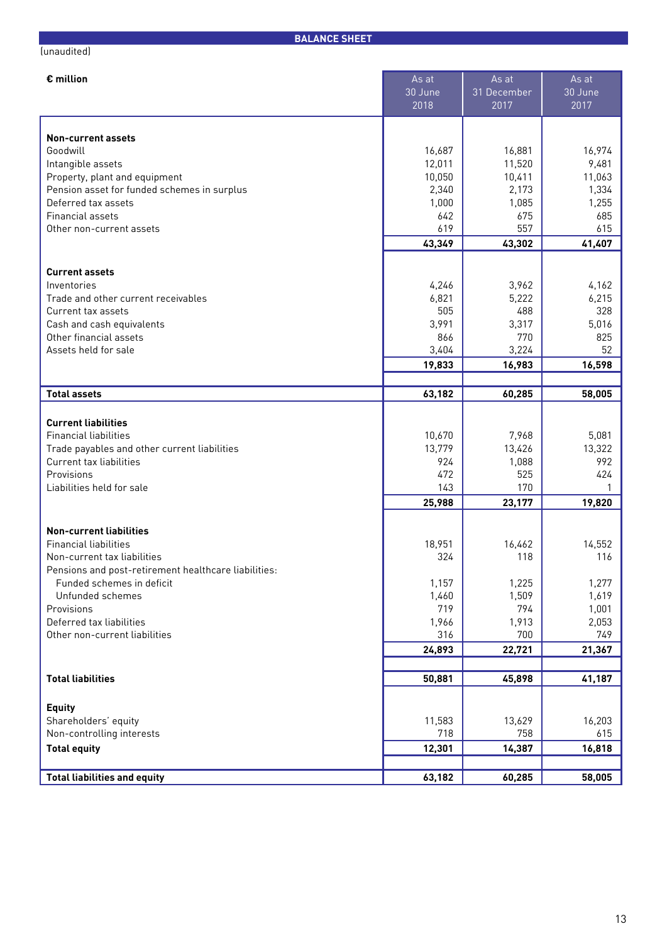| € million                                                          | As at      | As at         | As at      |
|--------------------------------------------------------------------|------------|---------------|------------|
|                                                                    | 30 June    | 31 December   | 30 June    |
|                                                                    | 2018       | 2017          | 2017       |
|                                                                    |            |               |            |
| <b>Non-current assets</b>                                          |            |               |            |
| Goodwill                                                           | 16,687     | 16,881        | 16,974     |
| Intangible assets                                                  | 12,011     | 11,520        | 9,481      |
| Property, plant and equipment                                      | 10,050     | 10,411        | 11,063     |
| Pension asset for funded schemes in surplus<br>Deferred tax assets | 2,340      | 2,173         | 1,334      |
| <b>Financial assets</b>                                            | 1,000      | 1,085         | 1,255      |
| Other non-current assets                                           | 642<br>619 | 675<br>557    | 685<br>615 |
|                                                                    |            |               |            |
|                                                                    | 43,349     | 43,302        | 41,407     |
| <b>Current assets</b>                                              |            |               |            |
| Inventories                                                        | 4,246      | 3,962         | 4,162      |
| Trade and other current receivables                                | 6,821      | 5,222         | 6,215      |
| Current tax assets                                                 | 505        | 488           | 328        |
| Cash and cash equivalents                                          | 3,991      | 3,317         | 5,016      |
| Other financial assets                                             | 866        | 770           | 825        |
| Assets held for sale                                               | 3,404      | 3,224         | 52         |
|                                                                    | 19,833     | 16,983        | 16,598     |
|                                                                    |            |               |            |
| <b>Total assets</b>                                                | 63,182     | 60,285        | 58,005     |
|                                                                    |            |               |            |
| <b>Current liabilities</b>                                         |            |               |            |
| <b>Financial liabilities</b>                                       | 10,670     | 7,968         | 5,081      |
| Trade payables and other current liabilities                       | 13,779     | 13,426        | 13,322     |
| Current tax liabilities                                            | 924        | 1,088         | 992        |
| Provisions                                                         | 472        | 525           | 424        |
| Liabilities held for sale                                          | 143        | 170           |            |
|                                                                    | 25,988     | 23,177        | 19,820     |
|                                                                    |            |               |            |
| <b>Non-current liabilities</b><br><b>Financial liabilities</b>     | 18,951     |               | 14,552     |
| Non-current tax liabilities                                        | 324        | 16,462<br>118 | 116        |
| Pensions and post-retirement healthcare liabilities:               |            |               |            |
| Funded schemes in deficit                                          | 1,157      | 1,225         | 1,277      |
| Unfunded schemes                                                   | 1,460      | 1,509         | 1,619      |
| Provisions                                                         | 719        | 794           | 1,001      |
| Deferred tax liabilities                                           | 1,966      | 1,913         | 2,053      |
| Other non-current liabilities                                      | 316        | 700           | 749        |
|                                                                    | 24,893     | 22,721        | 21,367     |
|                                                                    |            |               |            |
| <b>Total liabilities</b>                                           | 50,881     | 45,898        | 41,187     |
|                                                                    |            |               |            |
| <b>Equity</b>                                                      |            |               |            |
| Shareholders' equity                                               | 11,583     | 13,629        | 16,203     |
| Non-controlling interests                                          | 718        | 758           | 615        |
| <b>Total equity</b>                                                | 12,301     | 14,387        | 16,818     |
|                                                                    |            |               |            |
| <b>Total liabilities and equity</b>                                | 63,182     | 60,285        | 58,005     |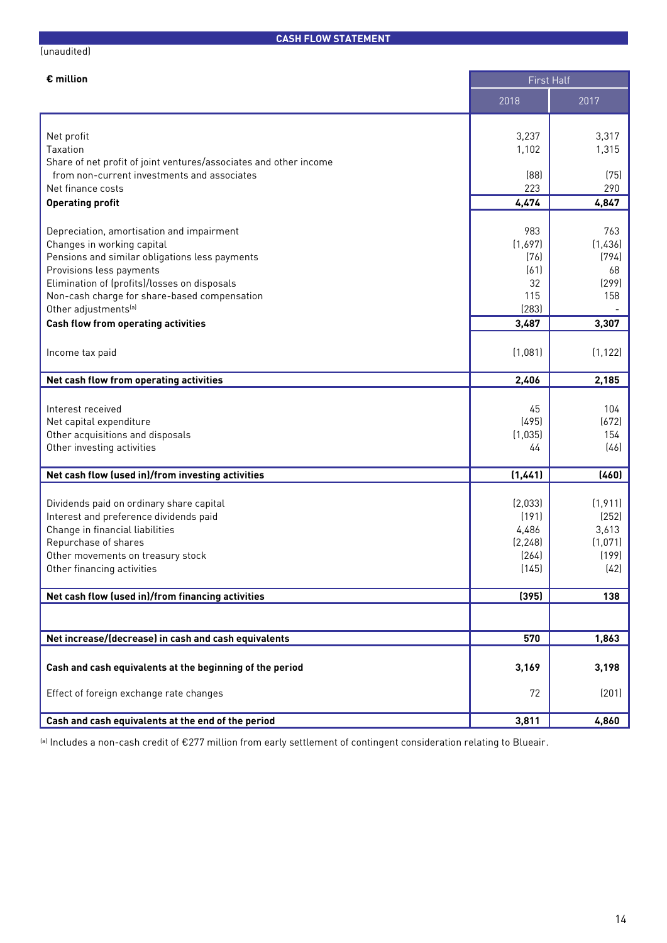| $\epsilon$ million                                                | <b>First Half</b> |          |
|-------------------------------------------------------------------|-------------------|----------|
|                                                                   | 2018              | 2017     |
|                                                                   |                   |          |
| Net profit                                                        | 3,237             | 3,317    |
| Taxation                                                          | 1,102             | 1,315    |
| Share of net profit of joint ventures/associates and other income |                   |          |
| from non-current investments and associates                       | (88)              | (75)     |
| Net finance costs                                                 | 223               | 290      |
| <b>Operating profit</b>                                           | 4,474             | 4,847    |
|                                                                   |                   |          |
| Depreciation, amortisation and impairment                         | 983               | 763      |
| Changes in working capital                                        | (1,697)           | (1,436)  |
| Pensions and similar obligations less payments                    | (76)              | (794)    |
| Provisions less payments                                          | (61)              | 68       |
| Elimination of (profits)/losses on disposals                      | 32                | (299)    |
| Non-cash charge for share-based compensation                      | 115               | 158      |
| Other adjustments <sup>(a)</sup>                                  | (283)             |          |
| <b>Cash flow from operating activities</b>                        | 3,487             | 3,307    |
|                                                                   |                   |          |
| Income tax paid                                                   | (1,081)           | (1, 122) |
| Net cash flow from operating activities                           | 2,406             | 2,185    |
|                                                                   |                   |          |
| Interest received                                                 | 45                | 104      |
| Net capital expenditure                                           | (495)             | (672)    |
| Other acquisitions and disposals                                  | (1,035)           | 154      |
| Other investing activities                                        | 44                | (46)     |
|                                                                   |                   |          |
| Net cash flow (used in)/from investing activities                 | (1,441)           | (460)    |
|                                                                   |                   |          |
| Dividends paid on ordinary share capital                          | (2,033)           | (1, 911) |
| Interest and preference dividends paid                            | (191)             | (252)    |
| Change in financial liabilities                                   | 4,486             | 3,613    |
| Repurchase of shares                                              | (2, 248)          | (1,071)  |
| Other movements on treasury stock                                 | (264)             | (199)    |
| Other financing activities                                        | (145)             | (42)     |
| Net cash flow (used in)/from financing activities                 | (395)             | 138      |
|                                                                   |                   |          |
| Net increase/(decrease) in cash and cash equivalents              | 570               | 1,863    |
|                                                                   |                   |          |
| Cash and cash equivalents at the beginning of the period          | 3,169             | 3,198    |
| Effect of foreign exchange rate changes                           | 72                | (201)    |
| Cash and cash equivalents at the end of the period                | 3,811             | 4,860    |

(a) Includes a non-cash credit of €277 million from early settlement of contingent consideration relating to Blueair.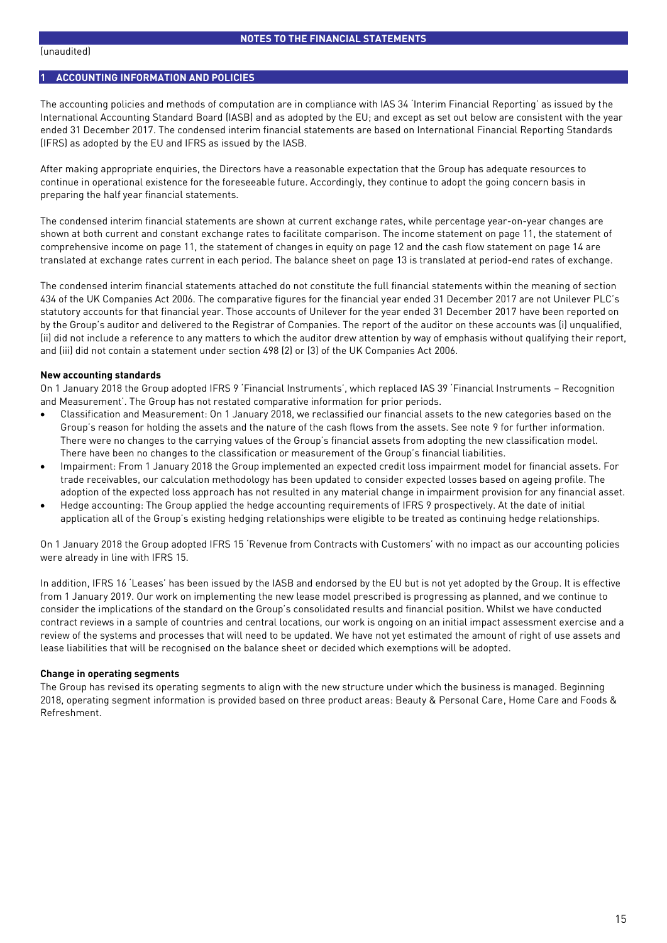#### **1 ACCOUNTING INFORMATION AND POLICIES**

The accounting policies and methods of computation are in compliance with IAS 34 'Interim Financial Reporting' as issued by the International Accounting Standard Board (IASB) and as adopted by the EU; and except as set out below are consistent with the year ended 31 December 2017. The condensed interim financial statements are based on International Financial Reporting Standards (IFRS) as adopted by the EU and IFRS as issued by the IASB.

After making appropriate enquiries, the Directors have a reasonable expectation that the Group has adequate resources to continue in operational existence for the foreseeable future. Accordingly, they continue to adopt the going concern basis in preparing the half year financial statements.

The condensed interim financial statements are shown at current exchange rates, while percentage year-on-year changes are shown at both current and constant exchange rates to facilitate comparison. The income statement on page 11, the statement of comprehensive income on page 11, the statement of changes in equity on page 12 and the cash flow statement on page 14 are translated at exchange rates current in each period. The balance sheet on page 13 is translated at period-end rates of exchange.

The condensed interim financial statements attached do not constitute the full financial statements within the meaning of section 434 of the UK Companies Act 2006. The comparative figures for the financial year ended 31 December 2017 are not Unilever PLC's statutory accounts for that financial year. Those accounts of Unilever for the year ended 31 December 2017 have been reported on by the Group's auditor and delivered to the Registrar of Companies. The report of the auditor on these accounts was (i) unqualified, (ii) did not include a reference to any matters to which the auditor drew attention by way of emphasis without qualifying their report, and (iii) did not contain a statement under section 498 (2) or (3) of the UK Companies Act 2006.

#### **New accounting standards**

On 1 January 2018 the Group adopted IFRS 9 'Financial Instruments', which replaced IAS 39 'Financial Instruments – Recognition and Measurement'. The Group has not restated comparative information for prior periods.

- Classification and Measurement: On 1 January 2018, we reclassified our financial assets to the new categories based on the Group's reason for holding the assets and the nature of the cash flows from the assets. See note 9 for further information. There were no changes to the carrying values of the Group's financial assets from adopting the new classification model. There have been no changes to the classification or measurement of the Group's financial liabilities.
- Impairment: From 1 January 2018 the Group implemented an expected credit loss impairment model for financial assets. For trade receivables, our calculation methodology has been updated to consider expected losses based on ageing profile. The adoption of the expected loss approach has not resulted in any material change in impairment provision for any financial asset.
- Hedge accounting: The Group applied the hedge accounting requirements of IFRS 9 prospectively. At the date of initial application all of the Group's existing hedging relationships were eligible to be treated as continuing hedge relationships.

On 1 January 2018 the Group adopted IFRS 15 'Revenue from Contracts with Customers' with no impact as our accounting policies were already in line with IFRS 15.

In addition, IFRS 16 'Leases' has been issued by the IASB and endorsed by the EU but is not yet adopted by the Group. It is effective from 1 January 2019. Our work on implementing the new lease model prescribed is progressing as planned, and we continue to consider the implications of the standard on the Group's consolidated results and financial position. Whilst we have conducted contract reviews in a sample of countries and central locations, our work is ongoing on an initial impact assessment exercise and a review of the systems and processes that will need to be updated. We have not yet estimated the amount of right of use assets and lease liabilities that will be recognised on the balance sheet or decided which exemptions will be adopted.

#### **Change in operating segments**

The Group has revised its operating segments to align with the new structure under which the business is managed. Beginning 2018, operating segment information is provided based on three product areas: Beauty & Personal Care, Home Care and Foods & Refreshment.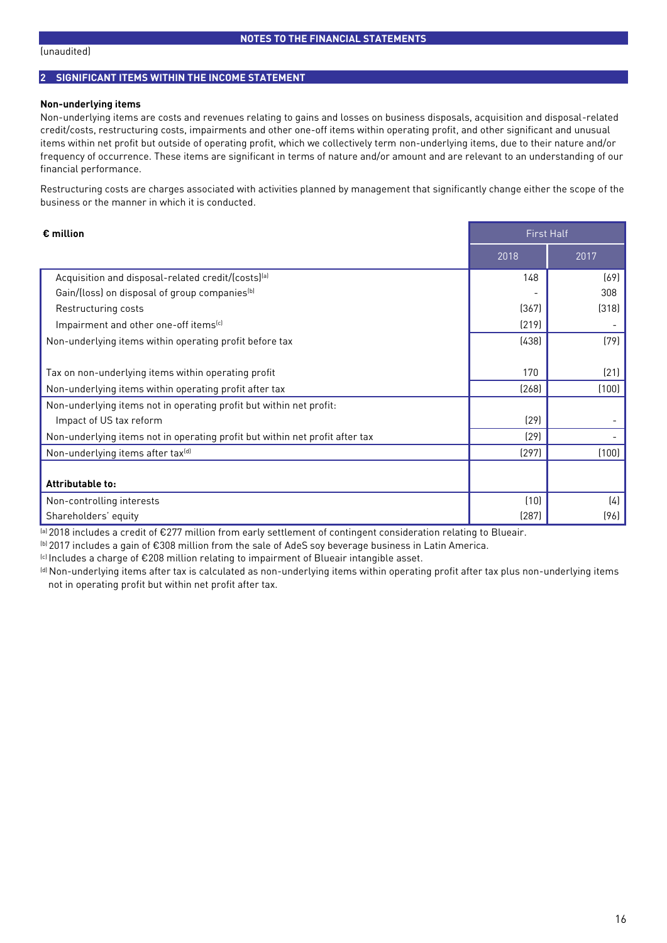#### **2 SIGNIFICANT ITEMS WITHIN THE INCOME STATEMENT**

#### **Non-underlying items**

Non-underlying items are costs and revenues relating to gains and losses on business disposals, acquisition and disposal-related credit/costs, restructuring costs, impairments and other one-off items within operating profit, and other significant and unusual items within net profit but outside of operating profit, which we collectively term non-underlying items, due to their nature and/or frequency of occurrence. These items are significant in terms of nature and/or amount and are relevant to an understanding of our financial performance.

Restructuring costs are charges associated with activities planned by management that significantly change either the scope of the business or the manner in which it is conducted.

| $\epsilon$ million                                             | <b>First Half</b> |       |  |
|----------------------------------------------------------------|-------------------|-------|--|
|                                                                | 2018              | 2017  |  |
| Acquisition and disposal-related credit/(costs) <sup>(a)</sup> | 148               | (69)  |  |
| Gain/(loss) on disposal of group companies <sup>(b)</sup>      | ۰                 | 308   |  |
| Restructuring costs                                            | (367)             | [318] |  |
| Impairment and other one-off items <sup>(c)</sup>              | (219)             |       |  |
| Non-underlying items within operating profit before tax        | (438)             | (79)  |  |
| Tax on non-underlying items within operating profit            | 170               | (21)  |  |
| Non-underlying items within operating profit after tax         | (268)             | (100) |  |

| Non-underlying items within operating profit after tax                       | (268) | (100) |
|------------------------------------------------------------------------------|-------|-------|
| Non-underlying items not in operating profit but within net profit:          |       |       |
| Impact of US tax reform                                                      | (29)  |       |
| Non-underlying items not in operating profit but within net profit after tax | (29)  |       |
| Non-underlying items after tax <sup>(d)</sup>                                | (297) | (100) |
|                                                                              |       |       |
| Attributable to:                                                             |       |       |
| Non-controlling interests                                                    | (10)  | (4)   |
| Shareholders' equity                                                         | (287) | (96)  |

(a) 2018 includes a credit of €277 million from early settlement of contingent consideration relating to Blueair.

(b) 2017 includes a gain of €308 million from the sale of AdeS soy beverage business in Latin America.

(c) Includes a charge of €208 million relating to impairment of Blueair intangible asset.

(d) Non-underlying items after tax is calculated as non-underlying items within operating profit after tax plus non-underlying items not in operating profit but within net profit after tax.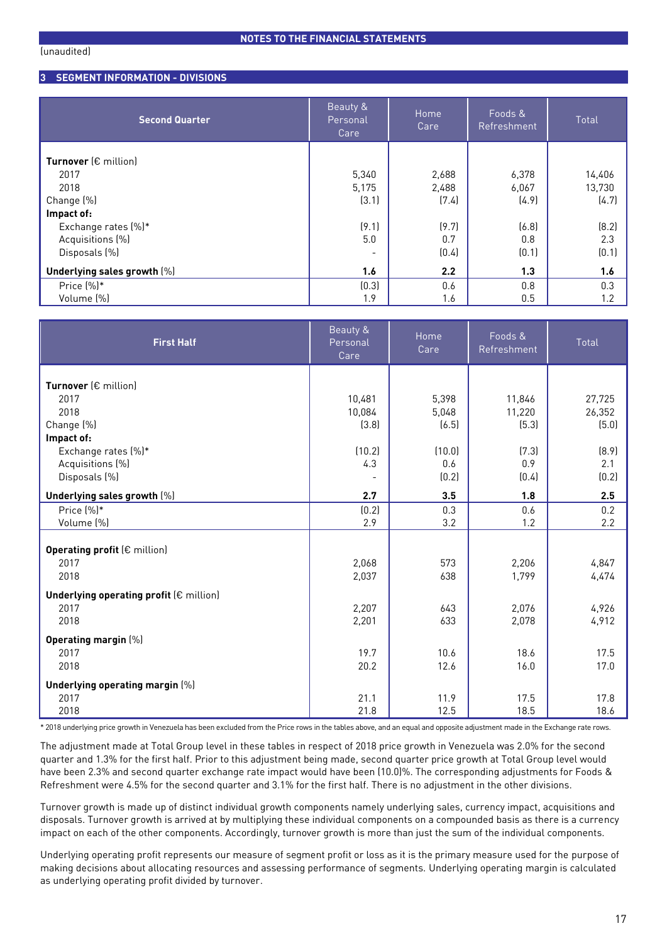## **3 SEGMENT INFORMATION - DIVISIONS**

| <b>Second Quarter</b>                 | Beauty &<br>Personal<br>Care | Home<br>Care | Foods &<br>Refreshment |        |
|---------------------------------------|------------------------------|--------------|------------------------|--------|
| <b>Turnover</b> ( $\epsilon$ million) |                              |              |                        |        |
| 2017                                  | 5,340                        | 2,688        | 6,378                  | 14,406 |
| 2018                                  | 5,175                        | 2,488        | 6,067                  | 13,730 |
| Change (%)                            | (3.1)                        | (7.4)        | (4.9)                  | (4.7)  |
| Impact of:                            |                              |              |                        |        |
| Exchange rates (%)*                   | (9.1)                        | (9.7)        | (6.8)                  | (8.2)  |
| Acquisitions (%)                      | 5.0                          | 0.7          | 0.8                    | 2.3    |
| Disposals (%)                         | $\overline{\phantom{a}}$     | (0.4)        | (0.1)                  | (0.1)  |
| Underlying sales growth [%]           | 1.6                          | 2.2          | 1.3                    | 1.6    |
| Price [%]*                            | (0.3)                        | 0.6          | 0.8                    | 0.3    |
| Volume [%]                            | 1.9                          | 1.6          | 0.5                    | 1.2    |

| <b>First Half</b>                       | Beauty &<br>Personal<br>Care | Home<br>Care | Foods &<br>Refreshment | Total           |
|-----------------------------------------|------------------------------|--------------|------------------------|-----------------|
|                                         |                              |              |                        |                 |
| Turnover (€ million)                    |                              |              |                        |                 |
| 2017                                    | 10,481                       | 5,398        | 11,846                 | 27,725          |
| 2018                                    | 10,084<br>(3.8)              | 5,048        | 11,220<br>(5.3)        | 26,352<br>(5.0) |
| Change (%)<br>Impact of:                |                              | (6.5)        |                        |                 |
| Exchange rates [%]*                     | (10.2)                       | (10.0)       | (7.3)                  | [8.9]           |
| Acquisitions (%)                        | 4.3                          | 0.6          | 0.9                    | 2.1             |
| Disposals (%)                           |                              | (0.2)        | (0.4)                  | (0.2)           |
| Underlying sales growth [%]             | 2.7                          | 3.5          | 1.8                    | 2.5             |
| Price (%)*                              | (0.2)                        | 0.3          | 0.6                    | 0.2             |
| Volume (%)                              | 2.9                          | 3.2          | 1.2                    | 2.2             |
|                                         |                              |              |                        |                 |
| Operating profit (€ million)<br>2017    | 2,068                        | 573          |                        | 4,847           |
| 2018                                    | 2,037                        | 638          | 2,206<br>1,799         | 4,474           |
|                                         |                              |              |                        |                 |
| Underlying operating profit (€ million) |                              |              |                        |                 |
| 2017                                    | 2,207                        | 643          | 2,076                  | 4,926           |
| 2018                                    | 2,201                        | 633          | 2,078                  | 4,912           |
| Operating margin [%]                    |                              |              |                        |                 |
| 2017                                    | 19.7                         | 10.6         | 18.6                   | 17.5            |
| 2018                                    | 20.2                         | 12.6         | 16.0                   | 17.0            |
| Underlying operating margin [%]         |                              |              |                        |                 |
| 2017                                    | 21.1                         | 11.9         | 17.5                   | 17.8            |
| 2018                                    | 21.8                         | 12.5         | 18.5                   | 18.6            |

\* 2018 underlying price growth in Venezuela has been excluded from the Price rows in the tables above, and an equal and opposite adjustment made in the Exchange rate rows.

The adjustment made at Total Group level in these tables in respect of 2018 price growth in Venezuela was 2.0% for the second quarter and 1.3% for the first half. Prior to this adjustment being made, second quarter price growth at Total Group level would have been 2.3% and second quarter exchange rate impact would have been (10.0)%. The corresponding adjustments for Foods & Refreshment were 4.5% for the second quarter and 3.1% for the first half. There is no adjustment in the other divisions.

Turnover growth is made up of distinct individual growth components namely underlying sales, currency impact, acquisitions and disposals. Turnover growth is arrived at by multiplying these individual components on a compounded basis as there is a currency impact on each of the other components. Accordingly, turnover growth is more than just the sum of the individual components.

Underlying operating profit represents our measure of segment profit or loss as it is the primary measure used for the purpose of making decisions about allocating resources and assessing performance of segments. Underlying operating margin is calculated as underlying operating profit divided by turnover.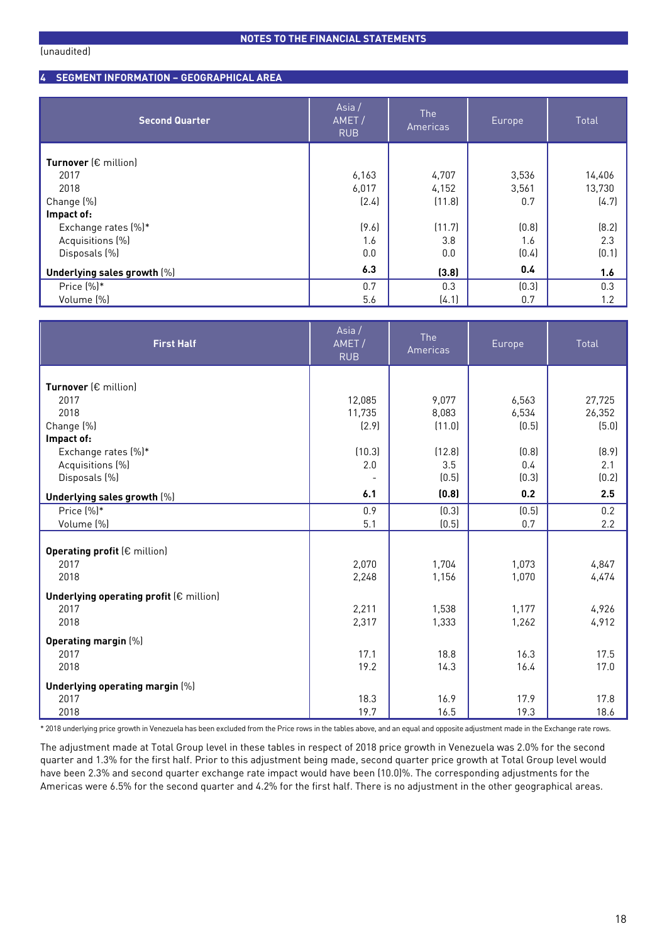#### **4 SEGMENT INFORMATION – GEOGRAPHICAL AREA**

| <b>Second Quarter</b>          | Asia/<br>AMET/<br><b>RUB</b> | The<br>Europe<br>Americas |                | Total            |
|--------------------------------|------------------------------|---------------------------|----------------|------------------|
| <b>Turnover</b> $\in$ million) |                              |                           |                |                  |
| 2017<br>2018                   | 6,163<br>6,017               | 4,707<br>4,152            | 3,536<br>3,561 | 14,406<br>13,730 |
| Change (%)                     | (2.4)                        | (11.8)                    | 0.7            | (4.7)            |
| Impact of:                     |                              |                           |                |                  |
| Exchange rates [%]*            | (9.6)                        | (11.7)                    | (0.8)          | (8.2)            |
| Acquisitions (%)               | 1.6                          | 3.8                       | 1.6            | 2.3              |
| Disposals (%)                  | 0.0                          | 0.0                       | (0.4)          | (0.1)            |
| Underlying sales growth [%]    | 6.3                          | (3.8)                     | $0.4^{\circ}$  | 1.6              |
| Price [%]*                     | 0.7                          | 0.3                       | (0.3)          | 0.3              |
| Volume (%)                     | 5.6                          | (4.1)                     | 0.7            | 1.2              |

| <b>First Half</b>                                | Asia /<br>AMET/<br><b>RUB</b> | The<br><b>Americas</b> | Europe         | Total           |
|--------------------------------------------------|-------------------------------|------------------------|----------------|-----------------|
|                                                  |                               |                        |                |                 |
| Turnover (€ million)                             |                               |                        |                |                 |
| 2017<br>2018                                     | 12,085                        | 9,077                  | 6,563          | 27,725          |
|                                                  | 11,735<br>(2.9)               | 8,083<br>(11.0)        | 6,534<br>(0.5) | 26,352<br>(5.0) |
| Change (%)<br>Impact of:                         |                               |                        |                |                 |
| Exchange rates [%]*                              | (10.3)                        | (12.8)                 | (0.8)          | (8.9)           |
| Acquisitions (%)                                 | 2.0                           | 3.5                    | 0.4            | 2.1             |
| Disposals (%)                                    |                               | (0.5)                  | (0.3)          | (0.2)           |
| Underlying sales growth [%]                      | 6.1                           | (0.8)                  | 0.2            | 2.5             |
| Price (%)*                                       | 0.9                           | (0.3)                  | (0.5)          | 0.2             |
| Volume (%)                                       | 5.1                           | (0.5)                  | 0.7            | 2.2             |
| Operating profit (€ million)<br>2017<br>2018     | 2,070<br>2,248                | 1,704<br>1,156         | 1,073<br>1,070 | 4,847<br>4,474  |
| Underlying operating profit $(\epsilon$ million) |                               |                        |                |                 |
| 2017                                             | 2,211                         | 1,538                  | 1,177          | 4,926           |
| 2018                                             | 2,317                         | 1,333                  | 1,262          | 4,912           |
| Operating margin [%]                             |                               |                        |                |                 |
| 2017                                             | 17.1                          | 18.8                   | 16.3           | 17.5            |
| 2018                                             | 19.2                          | 14.3                   | 16.4           | 17.0            |
| Underlying operating margin (%)                  |                               |                        |                |                 |
| 2017                                             | 18.3                          | 16.9                   | 17.9           | 17.8            |
| 2018                                             | 19.7                          | 16.5                   | 19.3           | 18.6            |

\* 2018 underlying price growth in Venezuela has been excluded from the Price rows in the tables above, and an equal and opposite adjustment made in the Exchange rate rows.

The adjustment made at Total Group level in these tables in respect of 2018 price growth in Venezuela was 2.0% for the second quarter and 1.3% for the first half. Prior to this adjustment being made, second quarter price growth at Total Group level would have been 2.3% and second quarter exchange rate impact would have been (10.0)%. The corresponding adjustments for the Americas were 6.5% for the second quarter and 4.2% for the first half. There is no adjustment in the other geographical areas.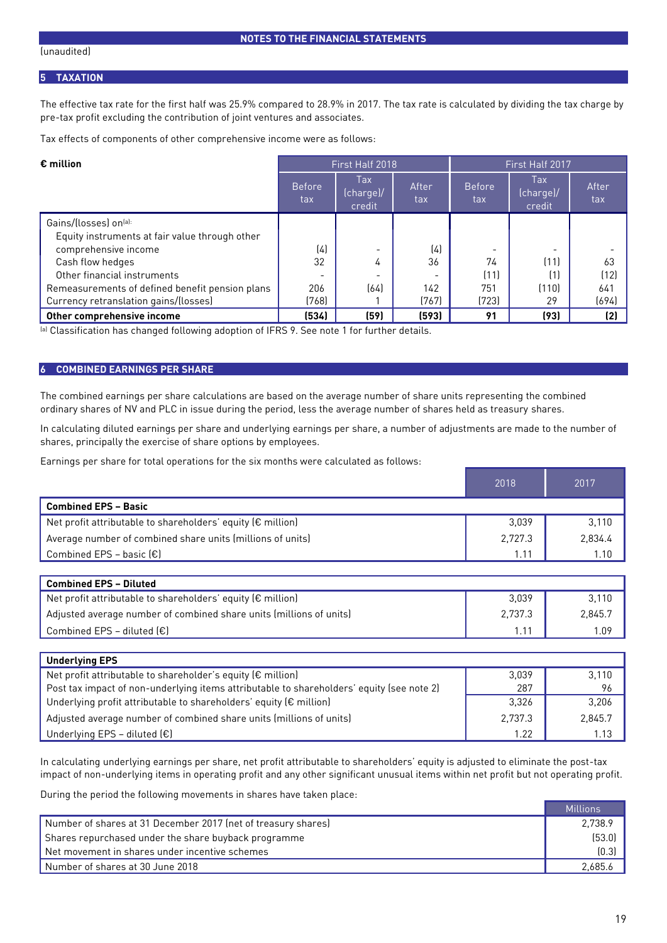#### **5 TAXATION**

The effective tax rate for the first half was 25.9% compared to 28.9% in 2017. The tax rate is calculated by dividing the tax charge by pre-tax profit excluding the contribution of joint ventures and associates.

Tax effects of components of other comprehensive income were as follows:

| $\epsilon$ million                              | First Half 2018          |                            |              | First Half 2017      |                            |              |
|-------------------------------------------------|--------------------------|----------------------------|--------------|----------------------|----------------------------|--------------|
|                                                 | <b>Before</b><br>tax     | Tax<br>(charge)/<br>credit | After<br>tax | <b>Before</b><br>tax | Tax<br>(charge)/<br>credit | After<br>tax |
| Gains/(losses) on[a]:                           |                          |                            |              |                      |                            |              |
| Equity instruments at fair value through other  |                          |                            |              |                      |                            |              |
| comprehensive income                            | (4)                      |                            | (4)          |                      |                            |              |
| Cash flow hedges                                | 32                       | 4                          | 36           | 74                   | (11)                       | 63           |
| Other financial instruments                     | $\overline{\phantom{0}}$ |                            |              | (11)                 | (1)                        | (12)         |
| Remeasurements of defined benefit pension plans | 206                      | (64)                       | 142          | 751                  | (110)                      | 641          |
| Currency retranslation gains/(losses)           | (768)                    |                            | (767)        | (723)                | 29                         | (694)        |
| Other comprehensive income                      | (534)                    | (59)                       | (593)        | 91                   | (93)                       | (2)          |

(a) Classification has changed following adoption of IFRS 9. See note 1 for further details.

#### **6 COMBINED EARNINGS PER SHARE**

The combined earnings per share calculations are based on the average number of share units representing the combined ordinary shares of NV and PLC in issue during the period, less the average number of shares held as treasury shares.

In calculating diluted earnings per share and underlying earnings per share, a number of adjustments are made to the number of shares, principally the exercise of share options by employees.

Earnings per share for total operations for the six months were calculated as follows:

|                                                                       | 2018    | 2017    |
|-----------------------------------------------------------------------|---------|---------|
| <b>Combined EPS - Basic</b>                                           |         |         |
| Net profit attributable to shareholders' equity ( $\epsilon$ million) | 3,039   | 3.110   |
| Average number of combined share units (millions of units)            | 2,727.3 | 2,834.4 |
| Combined EPS – basic (€)                                              | 1.11    | 1.10    |

| <b>Combined EPS - Diluted</b>                                         |         |         |  |  |  |  |
|-----------------------------------------------------------------------|---------|---------|--|--|--|--|
| Net profit attributable to shareholders' equity ( $\epsilon$ million) | 3.039   | 3.110   |  |  |  |  |
| Adjusted average number of combined share units (millions of units)   | 2.737.3 | 2.845.7 |  |  |  |  |
| Combined EPS – diluted $\left[\in\right]$                             |         |         |  |  |  |  |

| <b>Underlying EPS</b>                                                                     |         |         |
|-------------------------------------------------------------------------------------------|---------|---------|
| Net profit attributable to shareholder's equity ( $\epsilon$ million)                     | 3,039   | 3,110   |
| Post tax impact of non-underlying items attributable to shareholders' equity (see note 2) | 287     | 96      |
| Underlying profit attributable to shareholders' equity (€ million)                        | 3,326   | 3,206   |
| Adjusted average number of combined share units (millions of units)                       | 2,737.3 | 2.845.7 |
| Underlying EPS - diluted $(\epsilon)$                                                     | 1.22    | 1.13    |

In calculating underlying earnings per share, net profit attributable to shareholders' equity is adjusted to eliminate the post-tax impact of non-underlying items in operating profit and any other significant unusual items within net profit but not operating profit.

During the period the following movements in shares have taken place:

|                                                               | Millions |
|---------------------------------------------------------------|----------|
| Number of shares at 31 December 2017 (net of treasury shares) | 2.738.9  |
| Shares repurchased under the share buyback programme          | (53.0)   |
| Net movement in shares under incentive schemes ا              | (0.3)    |
| Number of shares at 30 June 2018                              | 2,685.6  |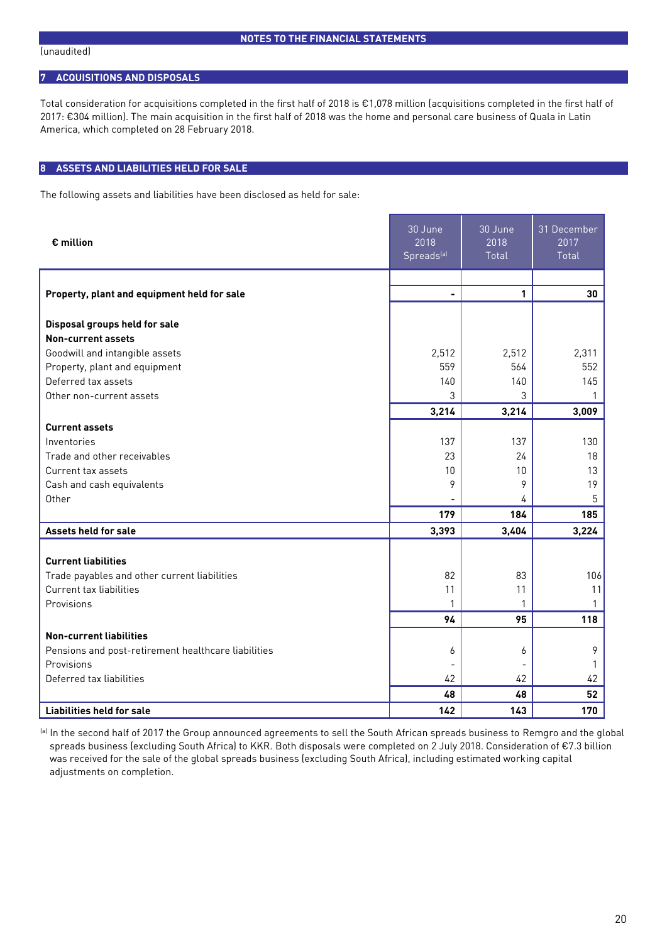#### **7 ACQUISITIONS AND DISPOSALS**

Total consideration for acquisitions completed in the first half of 2018 is €1,078 million (acquisitions completed in the first half of 2017: €304 million). The main acquisition in the first half of 2018 was the home and personal care business of Quala in Latin America, which completed on 28 February 2018.

#### **8 ASSETS AND LIABILITIES HELD FOR SALE**

The following assets and liabilities have been disclosed as held for sale:

| € million                                           | 30 June<br>2018<br>Spreads <sup>(a)</sup> | 30 June<br>2018<br>Total | 31 December<br>2017<br>Total |
|-----------------------------------------------------|-------------------------------------------|--------------------------|------------------------------|
|                                                     |                                           |                          |                              |
| Property, plant and equipment held for sale         | $\overline{a}$                            | 1                        | 30                           |
| Disposal groups held for sale                       |                                           |                          |                              |
| Non-current assets                                  |                                           |                          |                              |
| Goodwill and intangible assets                      | 2,512                                     | 2,512                    | 2,311                        |
| Property, plant and equipment                       | 559                                       | 564                      | 552                          |
| Deferred tax assets                                 | 140                                       | 140                      | 145                          |
| Other non-current assets                            | 3                                         | 3                        |                              |
|                                                     | 3,214                                     | 3,214                    | 3,009                        |
| <b>Current assets</b>                               |                                           |                          |                              |
| Inventories                                         | 137                                       | 137                      | 130                          |
| Trade and other receivables                         | 23                                        | 24                       | 18                           |
| Current tax assets                                  | 10 <sup>°</sup>                           | 10                       | 13                           |
| Cash and cash equivalents                           | 9                                         | 9                        | 19                           |
| Other                                               |                                           | 4                        | 5                            |
|                                                     | 179                                       | 184                      | 185                          |
| Assets held for sale                                | 3,393                                     | 3,404                    | 3,224                        |
|                                                     |                                           |                          |                              |
| <b>Current liabilities</b>                          |                                           |                          |                              |
| Trade payables and other current liabilities        | 82                                        | 83                       | 106                          |
| Current tax liabilities                             | 11                                        | 11                       | 11                           |
| Provisions                                          | 1                                         |                          | 1                            |
|                                                     | 94                                        | 95                       | 118                          |
| <b>Non-current liabilities</b>                      |                                           |                          |                              |
| Pensions and post-retirement healthcare liabilities | 6                                         | 6                        | 9                            |
| Provisions                                          |                                           |                          |                              |
| Deferred tax liabilities                            | 42                                        | 42                       | 42                           |
|                                                     | 48                                        | 48                       | 52                           |
| <b>Liabilities held for sale</b>                    | 142                                       | 143                      | 170                          |

(a) In the second half of 2017 the Group announced agreements to sell the South African spreads business to Remgro and the global spreads business (excluding South Africa) to KKR. Both disposals were completed on 2 July 2018. Consideration of €7.3 billion was received for the sale of the global spreads business (excluding South Africa), including estimated working capital adjustments on completion.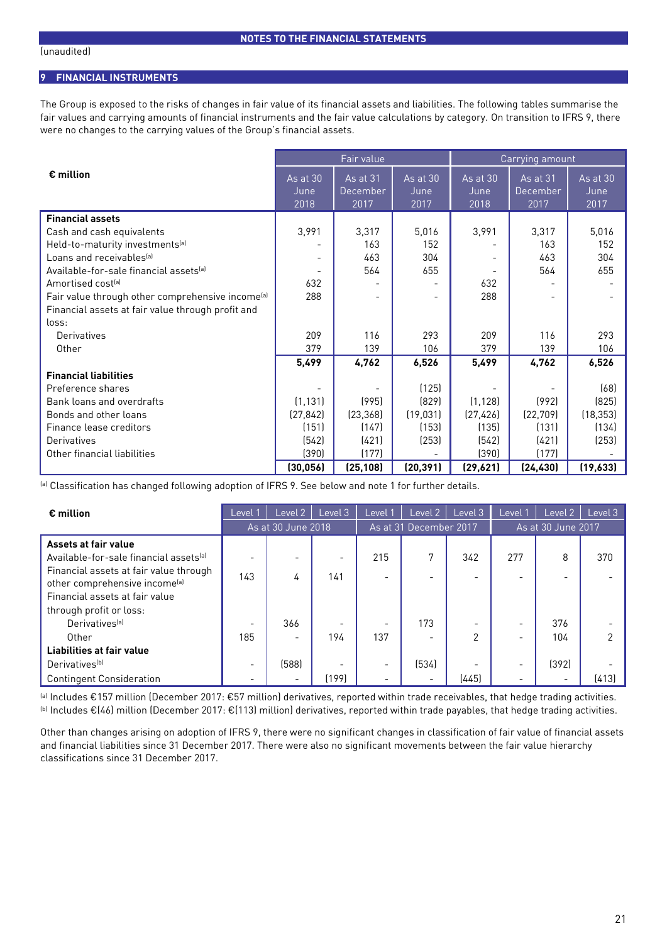#### **9 FINANCIAL INSTRUMENTS**

The Group is exposed to the risks of changes in fair value of its financial assets and liabilities. The following tables summarise the fair values and carrying amounts of financial instruments and the fair value calculations by category. On transition to IFRS 9, there were no changes to the carrying values of the Group's financial assets.

|                                                              |                            | Fair value                          |                            | Carrying amount            |                                            |                          |
|--------------------------------------------------------------|----------------------------|-------------------------------------|----------------------------|----------------------------|--------------------------------------------|--------------------------|
| $\epsilon$ million                                           | As at $30$<br>June<br>2018 | <b>As at 31</b><br>December<br>2017 | As at $30$<br>June<br>2017 | As at $30$<br>June<br>2018 | <b>As at 31</b><br><b>December</b><br>2017 | As at 30<br>June<br>2017 |
| <b>Financial assets</b>                                      |                            |                                     |                            |                            |                                            |                          |
| Cash and cash equivalents                                    | 3,991                      | 3,317                               | 5,016                      | 3,991                      | 3,317                                      | 5,016                    |
| Held-to-maturity investments <sup>[a]</sup>                  |                            | 163                                 | 152                        |                            | 163                                        | 152                      |
| Loans and receivables <sup>[a]</sup>                         |                            | 463                                 | 304                        |                            | 463                                        | 304                      |
| Available-for-sale financial assets <sup>[a]</sup>           |                            | 564                                 | 655                        |                            | 564                                        | 655                      |
| Amortised cost <sup>[a]</sup>                                | 632                        |                                     |                            | 632                        |                                            |                          |
| Fair value through other comprehensive income <sup>[a]</sup> | 288                        |                                     | $\overline{\phantom{a}}$   | 288                        |                                            |                          |
| Financial assets at fair value through profit and            |                            |                                     |                            |                            |                                            |                          |
| loss:                                                        |                            |                                     |                            |                            |                                            |                          |
| Derivatives                                                  | 209                        | 116                                 | 293                        | 209                        | 116                                        | 293                      |
| Other                                                        | 379                        | 139                                 | 106                        | 379                        | 139                                        | 106                      |
|                                                              | 5,499                      | 4,762                               | 6,526                      | 5,499                      | 4,762                                      | 6,526                    |
| <b>Financial liabilities</b>                                 |                            |                                     |                            |                            |                                            |                          |
| Preference shares                                            |                            |                                     | (125)                      |                            |                                            | (68)                     |
| Bank loans and overdrafts                                    | (1, 131)                   | (995)                               | [829]                      | (1, 128)                   | (992)                                      | (825)                    |
| Bonds and other loans                                        | (27, 842)                  | (23, 368)                           | (19, 031)                  | (27, 426)                  | (22, 709)                                  | (18, 353)                |
| Finance lease creditors                                      | (151)                      | (147)                               | (153)                      | (135)                      | (131)                                      | (134)                    |
| Derivatives                                                  | (542)                      | (421)                               | (253)                      | (542)                      | (421)                                      | (253)                    |
| Other financial liabilities                                  | (390)                      | (177)                               |                            | (390)                      | (177)                                      |                          |
|                                                              | (30, 056)                  | (25, 108)                           | (20, 391)                  | (29, 621)                  | (24, 430)                                  | (19,633)                 |

(a) Classification has changed following adoption of IFRS 9. See below and note 1 for further details.

| $\epsilon$ million                                                                  | Level 1 | Level 2            | $\overline{\mathsf{Level}}$ 3 | Level 1                  | Level 2                | Level 3 | Level 1                  | Level $2^{\degree}$ | Level 3 |
|-------------------------------------------------------------------------------------|---------|--------------------|-------------------------------|--------------------------|------------------------|---------|--------------------------|---------------------|---------|
|                                                                                     |         | As at 30 June 2018 |                               |                          | As at 31 December 2017 |         | As at 30 June 2017       |                     |         |
| Assets at fair value                                                                |         |                    |                               |                          |                        |         |                          |                     |         |
| Available-for-sale financial assets <sup>[a]</sup>                                  |         |                    | $\overline{\phantom{a}}$      | 215                      | 7                      | 342     | 277                      | 8                   | 370     |
| Financial assets at fair value through<br>other comprehensive income <sup>(a)</sup> | 143     | 4                  | 141                           | $\overline{\phantom{0}}$ |                        |         | $\overline{\phantom{a}}$ |                     |         |
| Financial assets at fair value                                                      |         |                    |                               |                          |                        |         |                          |                     |         |
| through profit or loss:                                                             |         |                    |                               |                          |                        |         |                          |                     |         |
| Derivatives <sup>[a]</sup>                                                          |         | 366                | $\overline{\phantom{0}}$      | $\overline{\phantom{0}}$ | 173                    |         | $\overline{\phantom{0}}$ | 376                 |         |
| Other                                                                               | 185     |                    | 194                           | 137                      | -                      | 2       | $\overline{\phantom{0}}$ | 104                 |         |
| Liabilities at fair value                                                           |         |                    |                               |                          |                        |         |                          |                     |         |
| Derivatives <sup>[b]</sup>                                                          |         | (588)              | $\overline{\phantom{a}}$      | -                        | (534)                  |         | $\overline{\phantom{a}}$ | (392)               |         |
| <b>Contingent Consideration</b>                                                     |         |                    | [199]                         | -                        |                        | (445)   | $\overline{\phantom{a}}$ |                     | (413)   |

(a) Includes €157 million (December 2017: €57 million) derivatives, reported within trade receivables, that hedge trading activities. (b) Includes €(46) million (December 2017: €(113) million) derivatives, reported within trade payables, that hedge trading activities.

Other than changes arising on adoption of IFRS 9, there were no significant changes in classification of fair value of financial assets and financial liabilities since 31 December 2017. There were also no significant movements between the fair value hierarchy classifications since 31 December 2017.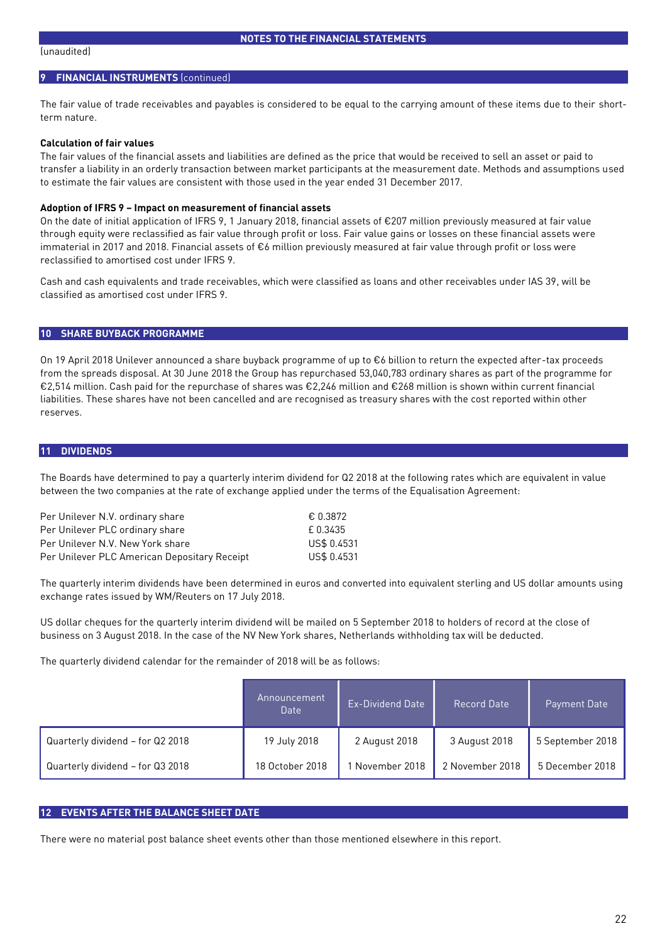#### **FINANCIAL INSTRUMENTS** (continued)

The fair value of trade receivables and payables is considered to be equal to the carrying amount of these items due to their shortterm nature.

#### **Calculation of fair values**

The fair values of the financial assets and liabilities are defined as the price that would be received to sell an asset or paid to transfer a liability in an orderly transaction between market participants at the measurement date. Methods and assumptions used to estimate the fair values are consistent with those used in the year ended 31 December 2017.

#### **Adoption of IFRS 9 – Impact on measurement of financial assets**

On the date of initial application of IFRS 9, 1 January 2018, financial assets of €207 million previously measured at fair value through equity were reclassified as fair value through profit or loss. Fair value gains or losses on these financial assets were immaterial in 2017 and 2018. Financial assets of €6 million previously measured at fair value through profit or loss were reclassified to amortised cost under IFRS 9.

Cash and cash equivalents and trade receivables, which were classified as loans and other receivables under IAS 39, will be classified as amortised cost under IFRS 9.

#### **10 SHARE BUYBACK PROGRAMME**

On 19 April 2018 Unilever announced a share buyback programme of up to €6 billion to return the expected after-tax proceeds from the spreads disposal. At 30 June 2018 the Group has repurchased 53,040,783 ordinary shares as part of the programme for €2,514 million. Cash paid for the repurchase of shares was €2,246 million and €268 million is shown within current financial liabilities. These shares have not been cancelled and are recognised as treasury shares with the cost reported within other reserves.

#### **11 DIVIDENDS**

The Boards have determined to pay a quarterly interim dividend for Q2 2018 at the following rates which are equivalent in value between the two companies at the rate of exchange applied under the terms of the Equalisation Agreement:

| Per Unilever N.V. ordinary share             | € 0.3872    |
|----------------------------------------------|-------------|
| Per Unilever PLC ordinary share              | £ 0.3435    |
| Per Unilever N.V. New York share             | US\$ 0.4531 |
| Per Unilever PLC American Depositary Receipt | US\$ 0.4531 |
|                                              |             |

The quarterly interim dividends have been determined in euros and converted into equivalent sterling and US dollar amounts using exchange rates issued by WM/Reuters on 17 July 2018.

US dollar cheques for the quarterly interim dividend will be mailed on 5 September 2018 to holders of record at the close of business on 3 August 2018. In the case of the NV New York shares, Netherlands withholding tax will be deducted.

The quarterly dividend calendar for the remainder of 2018 will be as follows:

|                                  | Announcement<br><b>Date</b> | Ex-Dividend Date | I Record Date'  | Payment Date     |
|----------------------------------|-----------------------------|------------------|-----------------|------------------|
| Quarterly dividend - for Q2 2018 | 19 July 2018                | 2 August 2018    | 3 August 2018   | 5 September 2018 |
| Quarterly dividend - for Q3 2018 | 18 October 2018             | November 2018    | 2 November 2018 | 5 December 2018  |

#### **12 EVENTS AFTER THE BALANCE SHEET DATE**

There were no material post balance sheet events other than those mentioned elsewhere in this report.